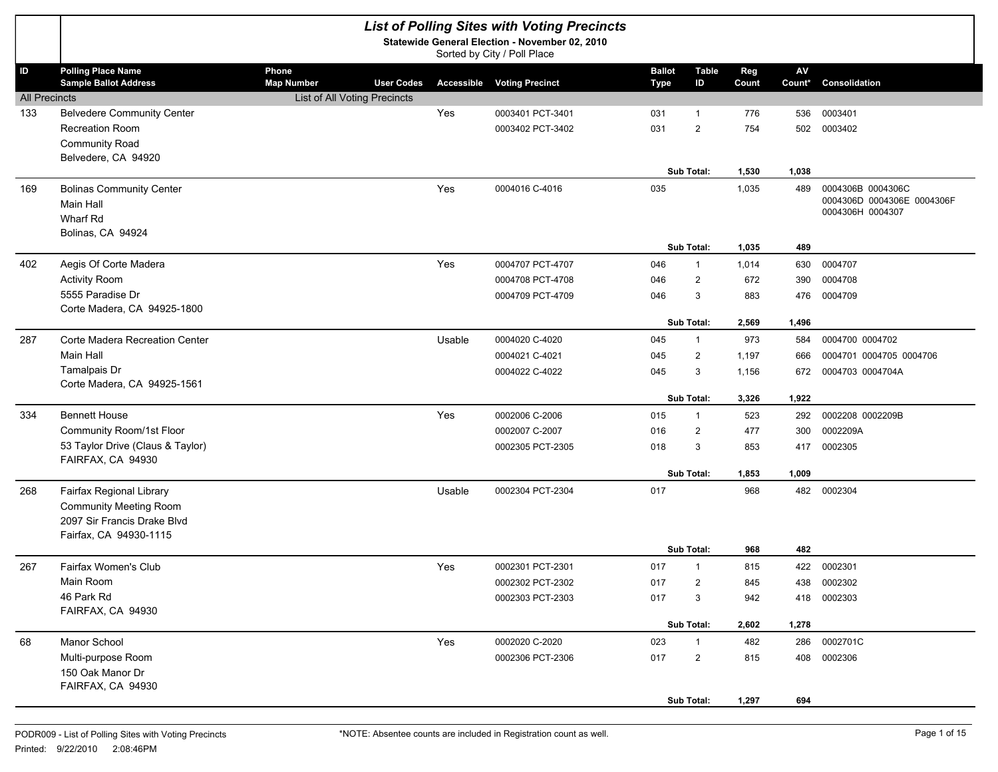|                             |                                                                 |                                                 |        | <b>List of Polling Sites with Voting Precincts</b>                            |                              |                    |              |              |                                                                     |
|-----------------------------|-----------------------------------------------------------------|-------------------------------------------------|--------|-------------------------------------------------------------------------------|------------------------------|--------------------|--------------|--------------|---------------------------------------------------------------------|
|                             |                                                                 |                                                 |        | Statewide General Election - November 02, 2010<br>Sorted by City / Poll Place |                              |                    |              |              |                                                                     |
| ID                          | <b>Polling Place Name</b><br><b>Sample Ballot Address</b>       | Phone<br><b>Map Number</b><br><b>User Codes</b> |        | <b>Accessible Voting Precinct</b>                                             | <b>Ballot</b><br><b>Type</b> | <b>Table</b><br>ID | Reg<br>Count | AV<br>Count* | Consolidation                                                       |
| <b>All Precincts</b><br>133 | <b>Belvedere Community Center</b>                               | List of All Voting Precincts                    | Yes    | 0003401 PCT-3401                                                              | 031                          | $\mathbf{1}$       | 776          | 536          | 0003401                                                             |
|                             | Recreation Room                                                 |                                                 |        | 0003402 PCT-3402                                                              | 031                          | $\overline{2}$     | 754          | 502          | 0003402                                                             |
|                             | <b>Community Road</b>                                           |                                                 |        |                                                                               |                              |                    |              |              |                                                                     |
|                             | Belvedere, CA 94920                                             |                                                 |        |                                                                               |                              |                    |              |              |                                                                     |
|                             |                                                                 |                                                 |        |                                                                               |                              | Sub Total:         | 1,530        | 1,038        |                                                                     |
| 169                         | <b>Bolinas Community Center</b><br><b>Main Hall</b><br>Wharf Rd |                                                 | Yes    | 0004016 C-4016                                                                | 035                          |                    | 1,035        | 489          | 0004306B 0004306C<br>0004306D 0004306E 0004306F<br>0004306H 0004307 |
|                             | Bolinas, CA 94924                                               |                                                 |        |                                                                               |                              | Sub Total:         | 1,035        | 489          |                                                                     |
| 402                         | Aegis Of Corte Madera                                           |                                                 | Yes    | 0004707 PCT-4707                                                              | 046                          | $\mathbf{1}$       | 1,014        | 630          | 0004707                                                             |
|                             | <b>Activity Room</b>                                            |                                                 |        | 0004708 PCT-4708                                                              | 046                          | 2                  | 672          | 390          | 0004708                                                             |
|                             | 5555 Paradise Dr                                                |                                                 |        | 0004709 PCT-4709                                                              | 046                          | 3                  | 883          | 476          | 0004709                                                             |
|                             | Corte Madera, CA 94925-1800                                     |                                                 |        |                                                                               |                              |                    |              |              |                                                                     |
|                             |                                                                 |                                                 |        |                                                                               |                              | Sub Total:         | 2,569        | 1,496        |                                                                     |
| 287                         | Corte Madera Recreation Center                                  |                                                 | Usable | 0004020 C-4020                                                                | 045                          | $\mathbf{1}$       | 973          | 584          | 0004700 0004702                                                     |
|                             | <b>Main Hall</b>                                                |                                                 |        | 0004021 C-4021                                                                | 045                          | $\overline{2}$     | 1,197        | 666          | 0004701 0004705 0004706                                             |
|                             | Tamalpais Dr<br>Corte Madera, CA 94925-1561                     |                                                 |        | 0004022 C-4022                                                                | 045                          | 3                  | 1,156        | 672          | 0004703 0004704A                                                    |
|                             |                                                                 |                                                 |        |                                                                               |                              | Sub Total:         | 3,326        | 1,922        |                                                                     |
| 334                         | <b>Bennett House</b>                                            |                                                 | Yes    | 0002006 C-2006                                                                | 015                          | $\mathbf{1}$       | 523          | 292          | 0002208 0002209B                                                    |
|                             | Community Room/1st Floor                                        |                                                 |        | 0002007 C-2007                                                                | 016                          | $\overline{2}$     | 477          | 300          | 0002209A                                                            |
|                             | 53 Taylor Drive (Claus & Taylor)<br>FAIRFAX, CA 94930           |                                                 |        | 0002305 PCT-2305                                                              | 018                          | 3                  | 853          | 417          | 0002305                                                             |
|                             |                                                                 |                                                 |        |                                                                               |                              | Sub Total:         | 1,853        | 1,009        |                                                                     |
| 268                         | Fairfax Regional Library                                        |                                                 | Usable | 0002304 PCT-2304                                                              | 017                          |                    | 968          | 482          | 0002304                                                             |
|                             | <b>Community Meeting Room</b><br>2097 Sir Francis Drake Blvd    |                                                 |        |                                                                               |                              |                    |              |              |                                                                     |
|                             | Fairfax, CA 94930-1115                                          |                                                 |        |                                                                               |                              |                    |              |              |                                                                     |
|                             |                                                                 |                                                 |        |                                                                               |                              | Sub Total:         | 968          | 482          |                                                                     |
| 267                         | Fairfax Women's Club                                            |                                                 | Yes    | 0002301 PCT-2301                                                              | 017                          | $\mathbf{1}$       | 815          | 422          | 0002301                                                             |
|                             | Main Room                                                       |                                                 |        | 0002302 PCT-2302                                                              | 017                          | $\overline{2}$     | 845          | 438          | 0002302                                                             |
|                             | 46 Park Rd                                                      |                                                 |        | 0002303 PCT-2303                                                              | 017                          | 3                  | 942          | 418          | 0002303                                                             |
|                             | FAIRFAX, CA 94930                                               |                                                 |        |                                                                               |                              | Sub Total:         | 2,602        | 1,278        |                                                                     |
| 68                          | Manor School                                                    |                                                 | Yes    | 0002020 C-2020                                                                | 023                          | $\mathbf{1}$       | 482          | 286          | 0002701C                                                            |
|                             | Multi-purpose Room                                              |                                                 |        | 0002306 PCT-2306                                                              | 017                          | $\overline{2}$     | 815          |              | 408 0002306                                                         |
|                             | 150 Oak Manor Dr                                                |                                                 |        |                                                                               |                              |                    |              |              |                                                                     |
|                             | FAIRFAX, CA 94930                                               |                                                 |        |                                                                               |                              |                    |              |              |                                                                     |
|                             |                                                                 |                                                 |        |                                                                               |                              | Sub Total:         | 1,297        | 694          |                                                                     |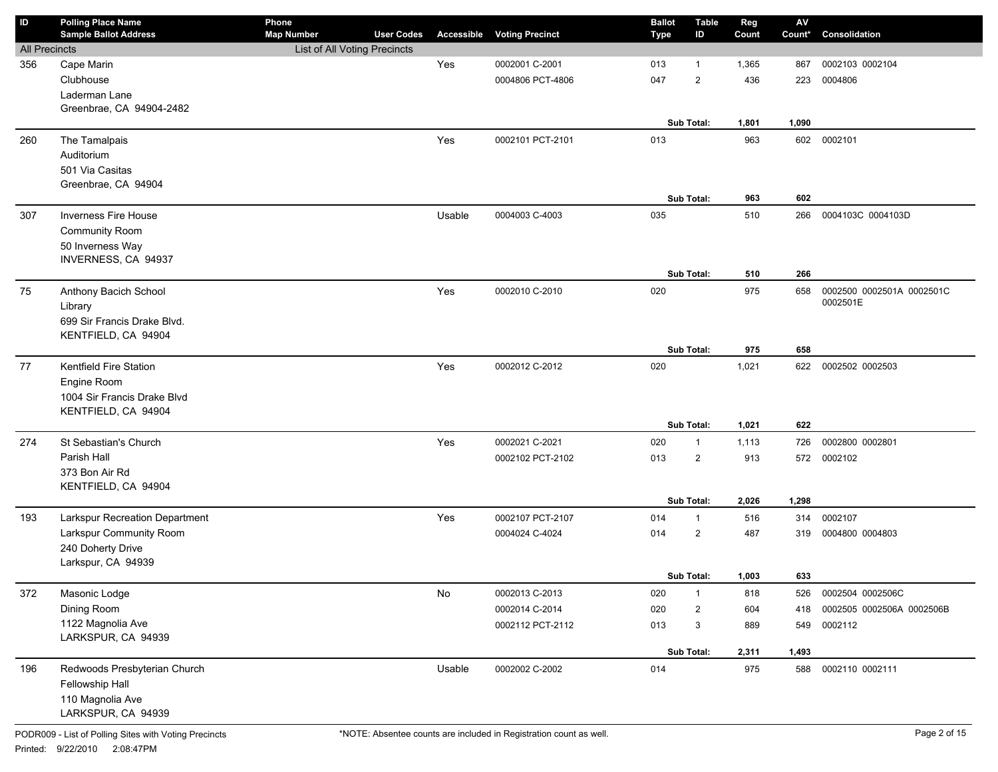| ID                   | <b>Polling Place Name</b>                 | Phone                        |                   |            |                        | <b>Ballot</b> | <b>Table</b>      | Reg   | $\mathsf{A}\mathsf{V}$ |                           |
|----------------------|-------------------------------------------|------------------------------|-------------------|------------|------------------------|---------------|-------------------|-------|------------------------|---------------------------|
|                      | <b>Sample Ballot Address</b>              | <b>Map Number</b>            | <b>User Codes</b> | Accessible | <b>Voting Precinct</b> | <b>Type</b>   | ID                | Count | Count*                 | Consolidation             |
| <b>All Precincts</b> |                                           | List of All Voting Precincts |                   |            |                        |               |                   |       |                        |                           |
| 356                  | Cape Marin                                |                              |                   | Yes        | 0002001 C-2001         | 013           | $\mathbf{1}$      | 1,365 | 867                    | 0002103 0002104           |
|                      | Clubhouse                                 |                              |                   |            | 0004806 PCT-4806       | 047           | $\overline{2}$    | 436   | 223                    | 0004806                   |
|                      | Laderman Lane<br>Greenbrae, CA 94904-2482 |                              |                   |            |                        |               |                   |       |                        |                           |
|                      |                                           |                              |                   |            |                        |               | Sub Total:        | 1,801 | 1,090                  |                           |
| 260                  | The Tamalpais                             |                              |                   | Yes        | 0002101 PCT-2101       | 013           |                   | 963   | 602                    | 0002101                   |
|                      | Auditorium                                |                              |                   |            |                        |               |                   |       |                        |                           |
|                      | 501 Via Casitas                           |                              |                   |            |                        |               |                   |       |                        |                           |
|                      | Greenbrae, CA 94904                       |                              |                   |            |                        |               |                   |       |                        |                           |
|                      |                                           |                              |                   |            |                        |               | Sub Total:        | 963   | 602                    |                           |
| 307                  | <b>Inverness Fire House</b>               |                              |                   | Usable     | 0004003 C-4003         | 035           |                   | 510   | 266                    | 0004103C 0004103D         |
|                      | Community Room                            |                              |                   |            |                        |               |                   |       |                        |                           |
|                      | 50 Inverness Way                          |                              |                   |            |                        |               |                   |       |                        |                           |
|                      | INVERNESS, CA 94937                       |                              |                   |            |                        |               |                   |       |                        |                           |
|                      |                                           |                              |                   |            |                        |               | Sub Total:        | 510   | 266                    |                           |
| 75                   | Anthony Bacich School                     |                              |                   | Yes        | 0002010 C-2010         | 020           |                   | 975   | 658                    | 0002500 0002501A 0002501C |
|                      | Library                                   |                              |                   |            |                        |               |                   |       |                        | 0002501E                  |
|                      | 699 Sir Francis Drake Blvd.               |                              |                   |            |                        |               |                   |       |                        |                           |
|                      | KENTFIELD, CA 94904                       |                              |                   |            |                        |               |                   |       |                        |                           |
|                      |                                           |                              |                   |            |                        |               | Sub Total:        | 975   | 658                    |                           |
| 77                   | Kentfield Fire Station                    |                              |                   | Yes        | 0002012 C-2012         | 020           |                   | 1,021 | 622                    | 0002502 0002503           |
|                      | Engine Room                               |                              |                   |            |                        |               |                   |       |                        |                           |
|                      | 1004 Sir Francis Drake Blvd               |                              |                   |            |                        |               |                   |       |                        |                           |
|                      | KENTFIELD, CA 94904                       |                              |                   |            |                        |               |                   |       |                        |                           |
|                      |                                           |                              |                   |            |                        |               | <b>Sub Total:</b> | 1,021 | 622                    |                           |
| 274                  | St Sebastian's Church                     |                              |                   | Yes        | 0002021 C-2021         | 020           | $\mathbf{1}$      | 1,113 | 726                    | 0002800 0002801           |
|                      | Parish Hall                               |                              |                   |            | 0002102 PCT-2102       | 013           | $\overline{2}$    | 913   | 572                    | 0002102                   |
|                      | 373 Bon Air Rd                            |                              |                   |            |                        |               |                   |       |                        |                           |
|                      | KENTFIELD, CA 94904                       |                              |                   |            |                        |               |                   |       |                        |                           |
|                      |                                           |                              |                   |            |                        |               | <b>Sub Total:</b> | 2,026 | 1,298                  |                           |
| 193                  | <b>Larkspur Recreation Department</b>     |                              |                   | Yes        | 0002107 PCT-2107       | 014           | $\mathbf{1}$      | 516   | 314                    | 0002107                   |
|                      | Larkspur Community Room                   |                              |                   |            | 0004024 C-4024         | 014           | $\overline{2}$    | 487   | 319                    | 0004800 0004803           |
|                      | 240 Doherty Drive                         |                              |                   |            |                        |               |                   |       |                        |                           |
|                      | Larkspur, CA 94939                        |                              |                   |            |                        |               |                   |       |                        |                           |
|                      |                                           |                              |                   |            |                        |               | Sub Total:        | 1,003 | 633                    |                           |
| 372                  | Masonic Lodge                             |                              |                   | No         | 0002013 C-2013         | 020           | $\mathbf{1}$      | 818   | 526                    | 0002504 0002506C          |
|                      | Dining Room                               |                              |                   |            | 0002014 C-2014         | 020           | $\overline{2}$    | 604   | 418                    | 0002505 0002506A 0002506B |
|                      | 1122 Magnolia Ave                         |                              |                   |            | 0002112 PCT-2112       | 013           | 3                 | 889   | 549                    | 0002112                   |
|                      | LARKSPUR, CA 94939                        |                              |                   |            |                        |               |                   |       |                        |                           |
|                      |                                           |                              |                   |            |                        |               | Sub Total:        | 2,311 | 1,493                  |                           |
| 196                  | Redwoods Presbyterian Church              |                              |                   | Usable     | 0002002 C-2002         | 014           |                   | 975   | 588                    | 0002110 0002111           |
|                      | Fellowship Hall                           |                              |                   |            |                        |               |                   |       |                        |                           |
|                      | 110 Magnolia Ave                          |                              |                   |            |                        |               |                   |       |                        |                           |
|                      | LARKSPUR, CA 94939                        |                              |                   |            |                        |               |                   |       |                        |                           |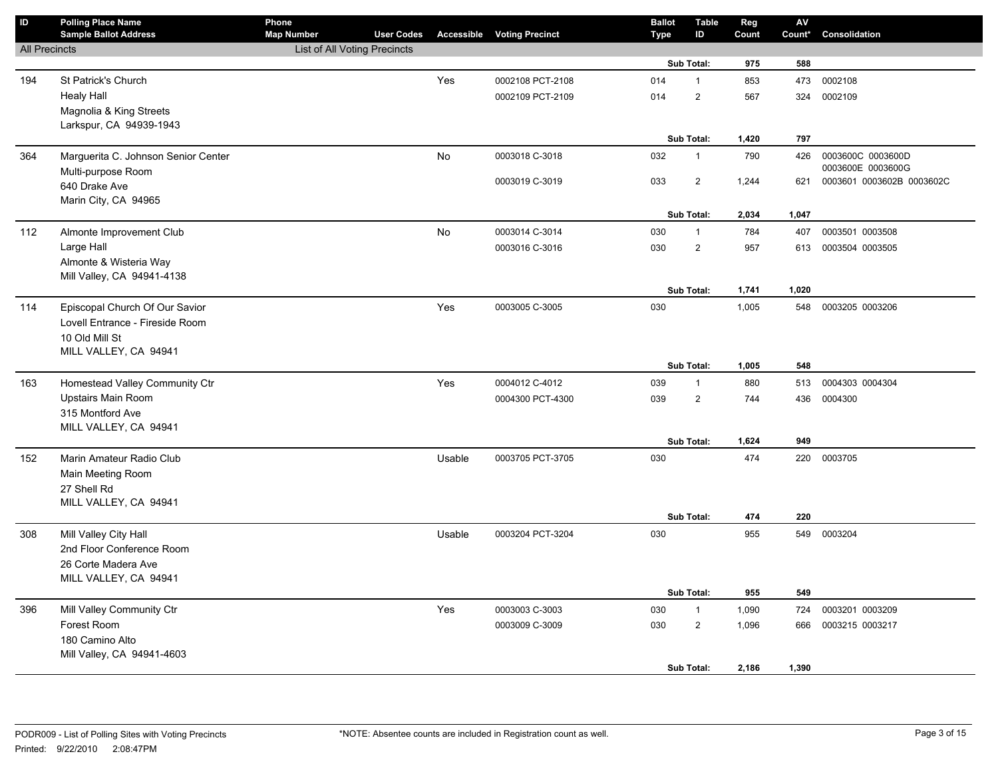| $\mathsf{ID}$        | <b>Polling Place Name</b>                     | Phone                        |                   |           |                                   | <b>Ballot</b> | <b>Table</b>   | Reg   | AV     |                           |
|----------------------|-----------------------------------------------|------------------------------|-------------------|-----------|-----------------------------------|---------------|----------------|-------|--------|---------------------------|
|                      | <b>Sample Ballot Address</b>                  | <b>Map Number</b>            | <b>User Codes</b> |           | <b>Accessible Voting Precinct</b> | <b>Type</b>   | ID             | Count | Count* | Consolidation             |
| <b>All Precincts</b> |                                               | List of All Voting Precincts |                   |           |                                   |               | Sub Total:     | 975   | 588    |                           |
|                      |                                               |                              |                   | Yes       | 0002108 PCT-2108                  | 014           | $\mathbf{1}$   | 853   | 473    | 0002108                   |
| 194                  | St Patrick's Church                           |                              |                   |           |                                   | 014           | $\overline{2}$ | 567   |        | 0002109                   |
|                      | <b>Healy Hall</b><br>Magnolia & King Streets  |                              |                   |           | 0002109 PCT-2109                  |               |                |       | 324    |                           |
|                      | Larkspur, CA 94939-1943                       |                              |                   |           |                                   |               |                |       |        |                           |
|                      |                                               |                              |                   |           |                                   |               | Sub Total:     | 1,420 | 797    |                           |
| 364                  | Marguerita C. Johnson Senior Center           |                              |                   | <b>No</b> | 0003018 C-3018                    | 032           | 1              | 790   | 426    | 0003600C 0003600D         |
|                      | Multi-purpose Room                            |                              |                   |           |                                   |               |                |       |        | 0003600E 0003600G         |
|                      | 640 Drake Ave                                 |                              |                   |           | 0003019 C-3019                    | 033           | $\overline{2}$ | 1,244 | 621    | 0003601 0003602B 0003602C |
|                      | Marin City, CA 94965                          |                              |                   |           |                                   |               |                |       |        |                           |
|                      |                                               |                              |                   |           |                                   |               | Sub Total:     | 2,034 | 1,047  |                           |
| 112                  | Almonte Improvement Club                      |                              |                   | No        | 0003014 C-3014                    | 030           | $\mathbf{1}$   | 784   | 407    | 0003501 0003508           |
|                      | Large Hall                                    |                              |                   |           | 0003016 C-3016                    | 030           | $\overline{2}$ | 957   | 613    | 0003504 0003505           |
|                      | Almonte & Wisteria Way                        |                              |                   |           |                                   |               |                |       |        |                           |
|                      | Mill Valley, CA 94941-4138                    |                              |                   |           |                                   |               |                |       |        |                           |
|                      |                                               |                              |                   |           |                                   |               | Sub Total:     | 1,741 | 1,020  |                           |
| 114                  | Episcopal Church Of Our Savior                |                              |                   | Yes       | 0003005 C-3005                    | 030           |                | 1,005 | 548    | 0003205 0003206           |
|                      | Lovell Entrance - Fireside Room               |                              |                   |           |                                   |               |                |       |        |                           |
|                      | 10 Old Mill St                                |                              |                   |           |                                   |               |                |       |        |                           |
|                      | MILL VALLEY, CA 94941                         |                              |                   |           |                                   |               | Sub Total:     | 1,005 | 548    |                           |
| 163                  | Homestead Valley Community Ctr                |                              |                   | Yes       | 0004012 C-4012                    | 039           | $\mathbf{1}$   | 880   | 513    | 0004303 0004304           |
|                      | <b>Upstairs Main Room</b>                     |                              |                   |           | 0004300 PCT-4300                  | 039           | $\overline{2}$ | 744   | 436    | 0004300                   |
|                      | 315 Montford Ave                              |                              |                   |           |                                   |               |                |       |        |                           |
|                      | MILL VALLEY, CA 94941                         |                              |                   |           |                                   |               |                |       |        |                           |
|                      |                                               |                              |                   |           |                                   |               | Sub Total:     | 1,624 | 949    |                           |
| 152                  | Marin Amateur Radio Club                      |                              |                   | Usable    | 0003705 PCT-3705                  | 030           |                | 474   | 220    | 0003705                   |
|                      | Main Meeting Room                             |                              |                   |           |                                   |               |                |       |        |                           |
|                      | 27 Shell Rd                                   |                              |                   |           |                                   |               |                |       |        |                           |
|                      | MILL VALLEY, CA 94941                         |                              |                   |           |                                   |               |                |       |        |                           |
|                      |                                               |                              |                   |           |                                   |               | Sub Total:     | 474   | 220    |                           |
| 308                  | Mill Valley City Hall                         |                              |                   | Usable    | 0003204 PCT-3204                  | 030           |                | 955   |        | 549 0003204               |
|                      | 2nd Floor Conference Room                     |                              |                   |           |                                   |               |                |       |        |                           |
|                      | 26 Corte Madera Ave                           |                              |                   |           |                                   |               |                |       |        |                           |
|                      | MILL VALLEY, CA 94941                         |                              |                   |           |                                   |               |                |       |        |                           |
|                      |                                               |                              |                   |           |                                   |               | Sub Total:     | 955   | 549    |                           |
| 396                  | Mill Valley Community Ctr                     |                              |                   | Yes       | 0003003 C-3003                    | 030           | $\mathbf{1}$   | 1,090 | 724    | 0003201 0003209           |
|                      | Forest Room                                   |                              |                   |           | 0003009 C-3009                    | 030           | $\overline{2}$ | 1,096 | 666    | 0003215 0003217           |
|                      | 180 Camino Alto<br>Mill Valley, CA 94941-4603 |                              |                   |           |                                   |               |                |       |        |                           |
|                      |                                               |                              |                   |           |                                   |               | Sub Total:     | 2,186 | 1,390  |                           |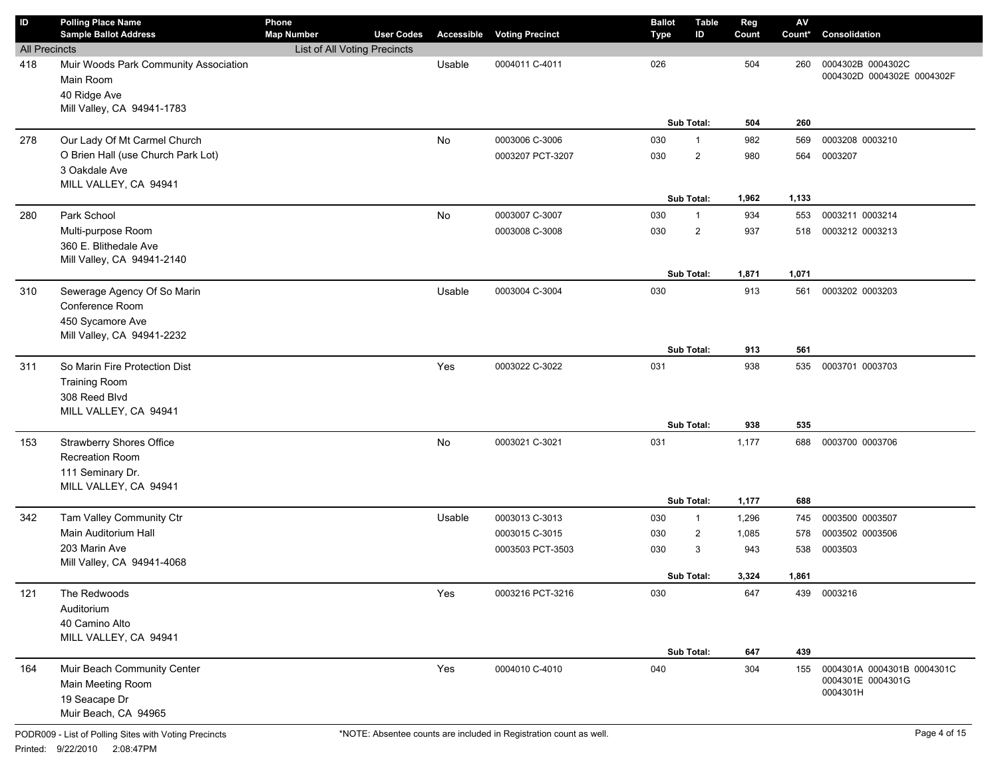| ID                   | <b>Polling Place Name</b><br><b>Sample Ballot Address</b>          | Phone<br><b>Map Number</b>   | <b>User Codes</b> | Accessible | <b>Voting Precinct</b> | <b>Ballot</b><br><b>Type</b> | <b>Table</b><br>ID | Reg<br>Count | $\mathsf{A}\mathsf{V}$<br>Count* | Consolidation                                   |
|----------------------|--------------------------------------------------------------------|------------------------------|-------------------|------------|------------------------|------------------------------|--------------------|--------------|----------------------------------|-------------------------------------------------|
| <b>All Precincts</b> |                                                                    | List of All Voting Precincts |                   |            |                        |                              |                    |              |                                  |                                                 |
| 418                  | Muir Woods Park Community Association<br>Main Room<br>40 Ridge Ave |                              |                   | Usable     | 0004011 C-4011         | 026                          |                    | 504          | 260                              | 0004302B 0004302C<br>0004302D 0004302E 0004302F |
|                      | Mill Valley, CA 94941-1783                                         |                              |                   |            |                        |                              | Sub Total:         | 504          | 260                              |                                                 |
| 278                  | Our Lady Of Mt Carmel Church                                       |                              |                   | No         | 0003006 C-3006         | 030                          | $\mathbf{1}$       | 982          | 569                              | 0003208 0003210                                 |
|                      | O Brien Hall (use Church Park Lot)                                 |                              |                   |            | 0003207 PCT-3207       | 030                          | $\overline{2}$     | 980          | 564                              | 0003207                                         |
|                      | 3 Oakdale Ave                                                      |                              |                   |            |                        |                              |                    |              |                                  |                                                 |
|                      | MILL VALLEY, CA 94941                                              |                              |                   |            |                        |                              |                    |              |                                  |                                                 |
|                      |                                                                    |                              |                   |            |                        |                              | Sub Total:         | 1,962        | 1,133                            |                                                 |
| 280                  | Park School                                                        |                              |                   | No         | 0003007 C-3007         | 030                          | $\mathbf{1}$       | 934          | 553                              | 0003211 0003214                                 |
|                      | Multi-purpose Room                                                 |                              |                   |            | 0003008 C-3008         | 030                          | $\overline{2}$     | 937          | 518                              | 0003212 0003213                                 |
|                      | 360 E. Blithedale Ave                                              |                              |                   |            |                        |                              |                    |              |                                  |                                                 |
|                      | Mill Valley, CA 94941-2140                                         |                              |                   |            |                        |                              |                    |              |                                  |                                                 |
|                      |                                                                    |                              |                   |            |                        |                              | Sub Total:         | 1,871        | 1,071                            |                                                 |
| 310                  | Sewerage Agency Of So Marin                                        |                              |                   | Usable     | 0003004 C-3004         | 030                          |                    | 913          | 561                              | 0003202 0003203                                 |
|                      | Conference Room                                                    |                              |                   |            |                        |                              |                    |              |                                  |                                                 |
|                      | 450 Sycamore Ave                                                   |                              |                   |            |                        |                              |                    |              |                                  |                                                 |
|                      | Mill Valley, CA 94941-2232                                         |                              |                   |            |                        |                              | Sub Total:         |              | 561                              |                                                 |
|                      |                                                                    |                              |                   |            |                        |                              |                    | 913          |                                  |                                                 |
| 311                  | So Marin Fire Protection Dist                                      |                              |                   | Yes        | 0003022 C-3022         | 031                          |                    | 938          | 535                              | 0003701 0003703                                 |
|                      | <b>Training Room</b><br>308 Reed Blvd                              |                              |                   |            |                        |                              |                    |              |                                  |                                                 |
|                      | MILL VALLEY, CA 94941                                              |                              |                   |            |                        |                              |                    |              |                                  |                                                 |
|                      |                                                                    |                              |                   |            |                        |                              | Sub Total:         | 938          | 535                              |                                                 |
| 153                  | <b>Strawberry Shores Office</b>                                    |                              |                   | No         | 0003021 C-3021         | 031                          |                    | 1,177        | 688                              | 0003700 0003706                                 |
|                      | Recreation Room                                                    |                              |                   |            |                        |                              |                    |              |                                  |                                                 |
|                      | 111 Seminary Dr.                                                   |                              |                   |            |                        |                              |                    |              |                                  |                                                 |
|                      | MILL VALLEY, CA 94941                                              |                              |                   |            |                        |                              |                    |              |                                  |                                                 |
|                      |                                                                    |                              |                   |            |                        |                              | Sub Total:         | 1,177        | 688                              |                                                 |
| 342                  | Tam Valley Community Ctr                                           |                              |                   | Usable     | 0003013 C-3013         | 030                          | $\mathbf{1}$       | 1,296        | 745                              | 0003500 0003507                                 |
|                      | Main Auditorium Hall                                               |                              |                   |            | 0003015 C-3015         | 030                          | $\overline{2}$     | 1,085        | 578                              | 0003502 0003506                                 |
|                      | 203 Marin Ave                                                      |                              |                   |            | 0003503 PCT-3503       | 030                          | 3                  | 943          | 538                              | 0003503                                         |
|                      | Mill Valley, CA 94941-4068                                         |                              |                   |            |                        |                              |                    |              |                                  |                                                 |
|                      |                                                                    |                              |                   |            |                        |                              | Sub Total:         | 3,324        | 1,861                            |                                                 |
| 121                  | The Redwoods                                                       |                              |                   | Yes        | 0003216 PCT-3216       | 030                          |                    | 647          |                                  | 439 0003216                                     |
|                      | Auditorium                                                         |                              |                   |            |                        |                              |                    |              |                                  |                                                 |
|                      | 40 Camino Alto                                                     |                              |                   |            |                        |                              |                    |              |                                  |                                                 |
|                      | MILL VALLEY, CA 94941                                              |                              |                   |            |                        |                              | Sub Total:         |              |                                  |                                                 |
|                      |                                                                    |                              |                   |            |                        |                              |                    | 647          | 439                              |                                                 |
| 164                  | Muir Beach Community Center                                        |                              |                   | Yes        | 0004010 C-4010         | 040                          |                    | 304          | 155                              | 0004301A 0004301B 0004301C<br>0004301E 0004301G |
|                      | Main Meeting Room                                                  |                              |                   |            |                        |                              |                    |              |                                  | 0004301H                                        |
|                      | 19 Seacape Dr<br>Muir Beach, CA 94965                              |                              |                   |            |                        |                              |                    |              |                                  |                                                 |
|                      |                                                                    |                              |                   |            |                        |                              |                    |              |                                  |                                                 |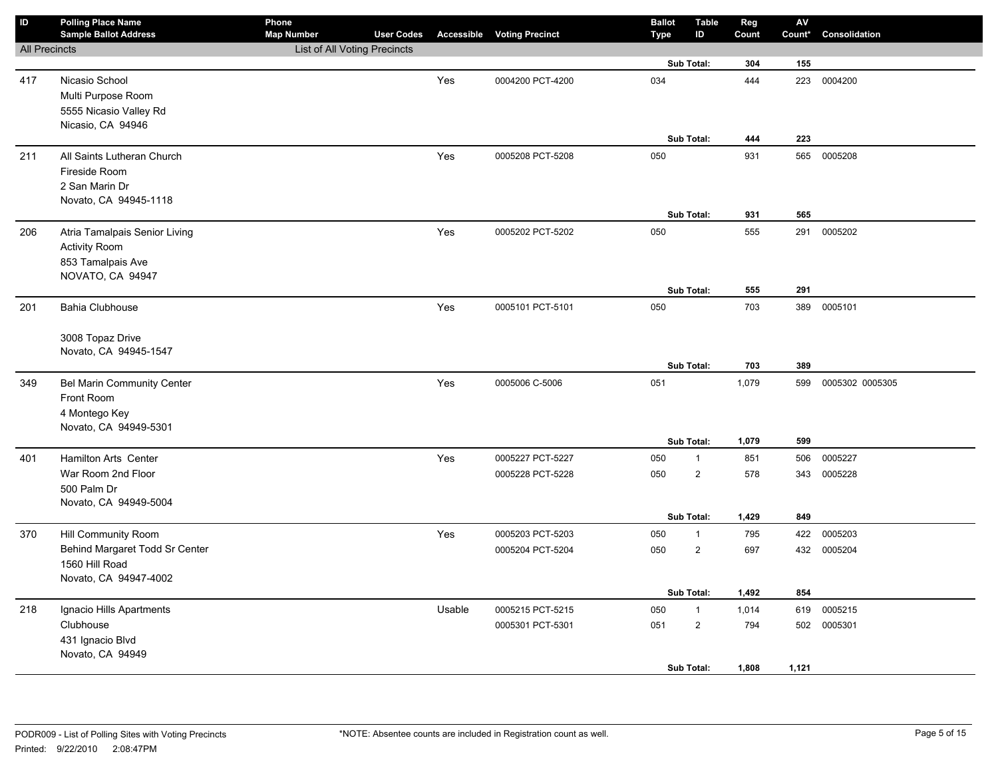| ID                   | <b>Polling Place Name</b><br><b>Sample Ballot Address</b> | Phone<br><b>Map Number</b>   | <b>User Codes</b> |        | <b>Accessible Voting Precinct</b> | <b>Ballot</b><br><b>Type</b> | <b>Table</b><br>ID | Reg<br>Count | ${\sf AV}$<br>Count* | Consolidation   |
|----------------------|-----------------------------------------------------------|------------------------------|-------------------|--------|-----------------------------------|------------------------------|--------------------|--------------|----------------------|-----------------|
| <b>All Precincts</b> |                                                           | List of All Voting Precincts |                   |        |                                   |                              |                    |              |                      |                 |
|                      |                                                           |                              |                   |        |                                   |                              | Sub Total:         | 304          | 155                  |                 |
| 417                  | Nicasio School                                            |                              |                   | Yes    | 0004200 PCT-4200                  | 034                          |                    | 444          | 223                  | 0004200         |
|                      | Multi Purpose Room                                        |                              |                   |        |                                   |                              |                    |              |                      |                 |
|                      | 5555 Nicasio Valley Rd                                    |                              |                   |        |                                   |                              |                    |              |                      |                 |
|                      | Nicasio, CA 94946                                         |                              |                   |        |                                   |                              |                    |              |                      |                 |
|                      |                                                           |                              |                   |        |                                   |                              | Sub Total:         | 444          | 223                  |                 |
| 211                  | All Saints Lutheran Church                                |                              |                   | Yes    | 0005208 PCT-5208                  | 050                          |                    | 931          |                      | 565 0005208     |
|                      | Fireside Room                                             |                              |                   |        |                                   |                              |                    |              |                      |                 |
|                      | 2 San Marin Dr                                            |                              |                   |        |                                   |                              |                    |              |                      |                 |
|                      | Novato, CA 94945-1118                                     |                              |                   |        |                                   |                              | Sub Total:         |              | 565                  |                 |
|                      |                                                           |                              |                   |        |                                   |                              |                    | 931          |                      |                 |
| 206                  | Atria Tamalpais Senior Living                             |                              |                   | Yes    | 0005202 PCT-5202                  | 050                          |                    | 555          | 291                  | 0005202         |
|                      | <b>Activity Room</b>                                      |                              |                   |        |                                   |                              |                    |              |                      |                 |
|                      | 853 Tamalpais Ave<br>NOVATO, CA 94947                     |                              |                   |        |                                   |                              |                    |              |                      |                 |
|                      |                                                           |                              |                   |        |                                   |                              | Sub Total:         | 555          | 291                  |                 |
| 201                  | <b>Bahia Clubhouse</b>                                    |                              |                   | Yes    | 0005101 PCT-5101                  | 050                          |                    | 703          | 389                  | 0005101         |
|                      |                                                           |                              |                   |        |                                   |                              |                    |              |                      |                 |
|                      | 3008 Topaz Drive                                          |                              |                   |        |                                   |                              |                    |              |                      |                 |
|                      | Novato, CA 94945-1547                                     |                              |                   |        |                                   |                              |                    |              |                      |                 |
|                      |                                                           |                              |                   |        |                                   |                              | Sub Total:         | 703          | 389                  |                 |
| 349                  | Bel Marin Community Center                                |                              |                   | Yes    | 0005006 C-5006                    | 051                          |                    | 1,079        | 599                  | 0005302 0005305 |
|                      | Front Room                                                |                              |                   |        |                                   |                              |                    |              |                      |                 |
|                      | 4 Montego Key                                             |                              |                   |        |                                   |                              |                    |              |                      |                 |
|                      | Novato, CA 94949-5301                                     |                              |                   |        |                                   |                              |                    |              |                      |                 |
|                      |                                                           |                              |                   |        |                                   |                              | Sub Total:         | 1,079        | 599                  |                 |
| 401                  | <b>Hamilton Arts Center</b>                               |                              |                   | Yes    | 0005227 PCT-5227                  | 050                          | $\mathbf{1}$       | 851          | 506                  | 0005227         |
|                      | War Room 2nd Floor                                        |                              |                   |        | 0005228 PCT-5228                  | 050                          | $\overline{2}$     | 578          | 343                  | 0005228         |
|                      | 500 Palm Dr                                               |                              |                   |        |                                   |                              |                    |              |                      |                 |
|                      | Novato, CA 94949-5004                                     |                              |                   |        |                                   |                              |                    | 1,429        | 849                  |                 |
|                      |                                                           |                              |                   |        |                                   |                              | Sub Total:         |              |                      |                 |
| 370                  | Hill Community Room                                       |                              |                   | Yes    | 0005203 PCT-5203                  | 050                          | $\mathbf{1}$       | 795          | 422                  | 0005203         |
|                      | Behind Margaret Todd Sr Center<br>1560 Hill Road          |                              |                   |        | 0005204 PCT-5204                  | 050                          | $\mathbf 2$        | 697          | 432                  | 0005204         |
|                      | Novato, CA 94947-4002                                     |                              |                   |        |                                   |                              |                    |              |                      |                 |
|                      |                                                           |                              |                   |        |                                   |                              | Sub Total:         | 1,492        | 854                  |                 |
| 218                  | Ignacio Hills Apartments                                  |                              |                   | Usable | 0005215 PCT-5215                  | 050                          | $\mathbf{1}$       | 1,014        | 619                  | 0005215         |
|                      | Clubhouse                                                 |                              |                   |        | 0005301 PCT-5301                  | 051                          | $\overline{2}$     | 794          | 502                  | 0005301         |
|                      | 431 Ignacio Blvd                                          |                              |                   |        |                                   |                              |                    |              |                      |                 |
|                      | Novato, CA 94949                                          |                              |                   |        |                                   |                              |                    |              |                      |                 |
|                      |                                                           |                              |                   |        |                                   |                              | Sub Total:         | 1,808        | 1,121                |                 |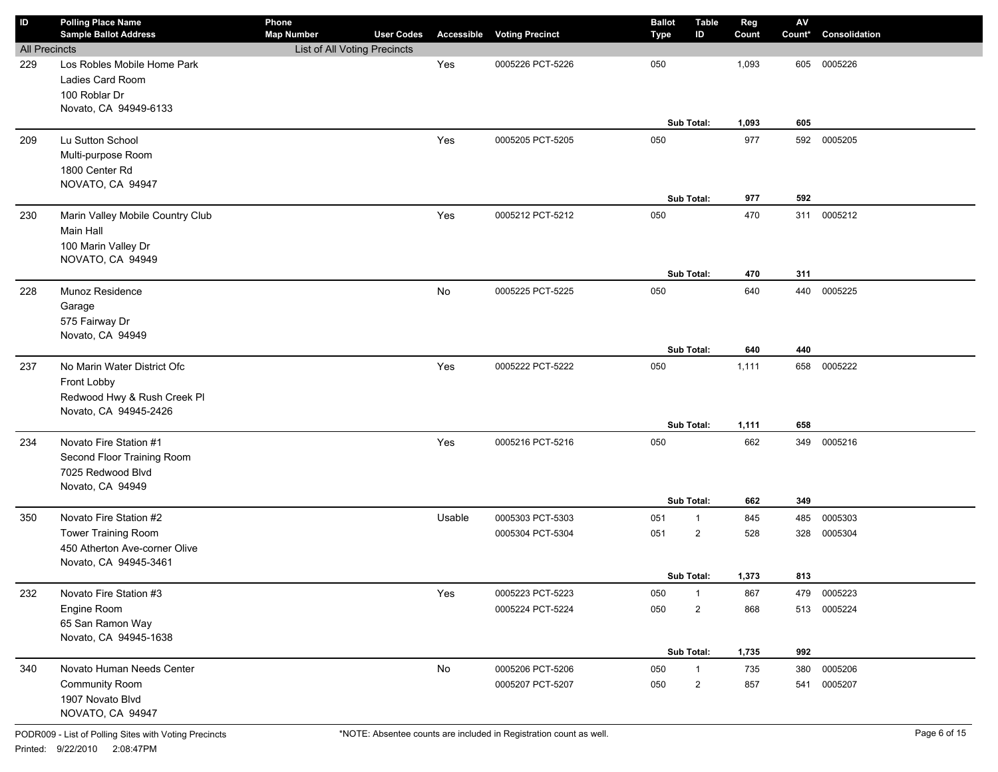| ID                   | <b>Polling Place Name</b><br><b>Sample Ballot Address</b> | Phone<br><b>Map Number</b>   | <b>User Codes</b> | Accessible | <b>Voting Precinct</b> | <b>Ballot</b><br><b>Type</b> | <b>Table</b><br>ID      | Reg<br>Count | $\mathsf{A}\mathsf{V}$<br>Count* | Consolidation |
|----------------------|-----------------------------------------------------------|------------------------------|-------------------|------------|------------------------|------------------------------|-------------------------|--------------|----------------------------------|---------------|
| <b>All Precincts</b> |                                                           | List of All Voting Precincts |                   |            |                        |                              |                         |              |                                  |               |
| 229                  | Los Robles Mobile Home Park                               |                              |                   | Yes        | 0005226 PCT-5226       | 050                          |                         | 1,093        | 605                              | 0005226       |
|                      | Ladies Card Room                                          |                              |                   |            |                        |                              |                         |              |                                  |               |
|                      | 100 Roblar Dr                                             |                              |                   |            |                        |                              |                         |              |                                  |               |
|                      | Novato, CA 94949-6133                                     |                              |                   |            |                        |                              |                         |              |                                  |               |
|                      |                                                           |                              |                   |            |                        |                              | Sub Total:              | 1,093        | 605                              |               |
| 209                  | Lu Sutton School                                          |                              |                   | Yes        | 0005205 PCT-5205       | 050                          |                         | 977          | 592                              | 0005205       |
|                      | Multi-purpose Room                                        |                              |                   |            |                        |                              |                         |              |                                  |               |
|                      | 1800 Center Rd                                            |                              |                   |            |                        |                              |                         |              |                                  |               |
|                      | NOVATO, CA 94947                                          |                              |                   |            |                        |                              |                         |              |                                  |               |
|                      |                                                           |                              |                   |            |                        |                              | Sub Total:              | 977          | 592                              |               |
| 230                  | Marin Valley Mobile Country Club                          |                              |                   | Yes        | 0005212 PCT-5212       | 050                          |                         | 470          | 311                              | 0005212       |
|                      | Main Hall                                                 |                              |                   |            |                        |                              |                         |              |                                  |               |
|                      | 100 Marin Valley Dr                                       |                              |                   |            |                        |                              |                         |              |                                  |               |
|                      | NOVATO, CA 94949                                          |                              |                   |            |                        |                              |                         |              |                                  |               |
|                      |                                                           |                              |                   |            |                        |                              | Sub Total:              | 470          | 311                              |               |
| 228                  | Munoz Residence                                           |                              |                   | No         | 0005225 PCT-5225       | 050                          |                         | 640          | 440                              | 0005225       |
|                      | Garage                                                    |                              |                   |            |                        |                              |                         |              |                                  |               |
|                      | 575 Fairway Dr<br>Novato, CA 94949                        |                              |                   |            |                        |                              |                         |              |                                  |               |
|                      |                                                           |                              |                   |            |                        |                              | Sub Total:              | 640          | 440                              |               |
| 237                  | No Marin Water District Ofc                               |                              |                   | Yes        | 0005222 PCT-5222       | 050                          |                         | 1,111        | 658                              | 0005222       |
|                      | Front Lobby                                               |                              |                   |            |                        |                              |                         |              |                                  |               |
|                      | Redwood Hwy & Rush Creek Pl                               |                              |                   |            |                        |                              |                         |              |                                  |               |
|                      | Novato, CA 94945-2426                                     |                              |                   |            |                        |                              |                         |              |                                  |               |
|                      |                                                           |                              |                   |            |                        |                              | Sub Total:              | 1,111        | 658                              |               |
| 234                  | Novato Fire Station #1                                    |                              |                   | Yes        | 0005216 PCT-5216       | 050                          |                         | 662          | 349                              | 0005216       |
|                      | Second Floor Training Room                                |                              |                   |            |                        |                              |                         |              |                                  |               |
|                      | 7025 Redwood Blvd                                         |                              |                   |            |                        |                              |                         |              |                                  |               |
|                      | Novato, CA 94949                                          |                              |                   |            |                        |                              |                         |              |                                  |               |
|                      |                                                           |                              |                   |            |                        |                              | Sub Total:              | 662          | 349                              |               |
| 350                  | Novato Fire Station #2                                    |                              |                   | Usable     | 0005303 PCT-5303       | 051                          | $\mathbf{1}$            | 845          | 485                              | 0005303       |
|                      | <b>Tower Training Room</b>                                |                              |                   |            | 0005304 PCT-5304       | 051                          | $\overline{2}$          | 528          | 328                              | 0005304       |
|                      | 450 Atherton Ave-corner Olive                             |                              |                   |            |                        |                              |                         |              |                                  |               |
|                      | Novato, CA 94945-3461                                     |                              |                   |            |                        |                              |                         |              |                                  |               |
|                      |                                                           |                              |                   |            |                        |                              | Sub Total:              | 1,373        | 813                              |               |
| 232                  | Novato Fire Station #3                                    |                              |                   | Yes        | 0005223 PCT-5223       | 050                          | $\mathbf{1}$            | 867          | 479                              | 0005223       |
|                      | Engine Room                                               |                              |                   |            | 0005224 PCT-5224       | 050                          | $\overline{\mathbf{c}}$ | 868          | 513                              | 0005224       |
|                      | 65 San Ramon Way<br>Novato, CA 94945-1638                 |                              |                   |            |                        |                              |                         |              |                                  |               |
|                      |                                                           |                              |                   |            |                        |                              | Sub Total:              | 1,735        | 992                              |               |
| 340                  | Novato Human Needs Center                                 |                              |                   | No         | 0005206 PCT-5206       | 050                          | $\mathbf{1}$            | 735          | 380                              | 0005206       |
|                      | <b>Community Room</b>                                     |                              |                   |            | 0005207 PCT-5207       | 050                          | $\overline{\mathbf{c}}$ | 857          | 541                              | 0005207       |
|                      | 1907 Novato Blvd                                          |                              |                   |            |                        |                              |                         |              |                                  |               |
|                      | NOVATO, CA 94947                                          |                              |                   |            |                        |                              |                         |              |                                  |               |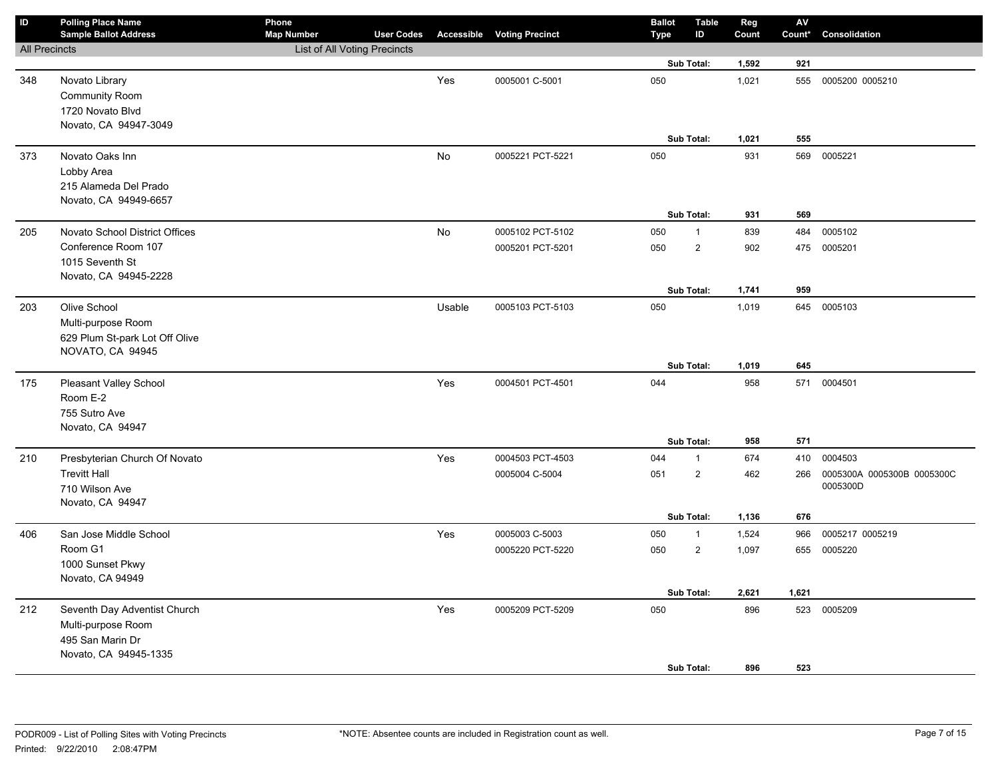| $\sf ID$             | <b>Polling Place Name</b><br><b>Sample Ballot Address</b> | Phone<br><b>Map Number</b>   | <b>User Codes</b> |        | <b>Accessible Voting Precinct</b> | <b>Ballot</b><br><b>Type</b> | <b>Table</b><br>ID | Reg<br>Count | $\mathsf{AV}$<br>Count* | Consolidation              |
|----------------------|-----------------------------------------------------------|------------------------------|-------------------|--------|-----------------------------------|------------------------------|--------------------|--------------|-------------------------|----------------------------|
| <b>All Precincts</b> |                                                           | List of All Voting Precincts |                   |        |                                   |                              |                    |              |                         |                            |
|                      |                                                           |                              |                   |        |                                   |                              | Sub Total:         | 1,592        | 921                     |                            |
| 348                  | Novato Library                                            |                              |                   | Yes    | 0005001 C-5001                    | 050                          |                    | 1,021        | 555                     | 0005200 0005210            |
|                      | Community Room                                            |                              |                   |        |                                   |                              |                    |              |                         |                            |
|                      | 1720 Novato Blvd                                          |                              |                   |        |                                   |                              |                    |              |                         |                            |
|                      | Novato, CA 94947-3049                                     |                              |                   |        |                                   |                              |                    |              |                         |                            |
|                      |                                                           |                              |                   |        |                                   |                              | Sub Total:         | 1,021        | 555                     |                            |
| 373                  | Novato Oaks Inn                                           |                              |                   | No     | 0005221 PCT-5221                  | 050                          |                    | 931          | 569                     | 0005221                    |
|                      | Lobby Area                                                |                              |                   |        |                                   |                              |                    |              |                         |                            |
|                      | 215 Alameda Del Prado                                     |                              |                   |        |                                   |                              |                    |              |                         |                            |
|                      | Novato, CA 94949-6657                                     |                              |                   |        |                                   |                              |                    |              |                         |                            |
|                      |                                                           |                              |                   |        |                                   |                              | Sub Total:         | 931          | 569                     |                            |
| 205                  | Novato School District Offices                            |                              |                   | No     | 0005102 PCT-5102                  | 050                          | $\mathbf{1}$       | 839          | 484                     | 0005102                    |
|                      | Conference Room 107                                       |                              |                   |        | 0005201 PCT-5201                  | 050                          | $\overline{2}$     | 902          | 475                     | 0005201                    |
|                      | 1015 Seventh St                                           |                              |                   |        |                                   |                              |                    |              |                         |                            |
|                      | Novato, CA 94945-2228                                     |                              |                   |        |                                   |                              |                    |              |                         |                            |
|                      |                                                           |                              |                   |        |                                   |                              | Sub Total:         | 1,741        | 959                     |                            |
| 203                  | Olive School                                              |                              |                   | Usable | 0005103 PCT-5103                  | 050                          |                    | 1,019        |                         | 645 0005103                |
|                      | Multi-purpose Room                                        |                              |                   |        |                                   |                              |                    |              |                         |                            |
|                      | 629 Plum St-park Lot Off Olive                            |                              |                   |        |                                   |                              |                    |              |                         |                            |
|                      | NOVATO, CA 94945                                          |                              |                   |        |                                   |                              | Sub Total:         | 1,019        | 645                     |                            |
|                      |                                                           |                              |                   | Yes    |                                   | 044                          |                    | 958          | 571                     | 0004501                    |
| 175                  | Pleasant Valley School<br>Room E-2                        |                              |                   |        | 0004501 PCT-4501                  |                              |                    |              |                         |                            |
|                      | 755 Sutro Ave                                             |                              |                   |        |                                   |                              |                    |              |                         |                            |
|                      | Novato, CA 94947                                          |                              |                   |        |                                   |                              |                    |              |                         |                            |
|                      |                                                           |                              |                   |        |                                   |                              | Sub Total:         | 958          | 571                     |                            |
| 210                  | Presbyterian Church Of Novato                             |                              |                   | Yes    | 0004503 PCT-4503                  | 044                          | $\mathbf{1}$       | 674          | 410                     | 0004503                    |
|                      | <b>Trevitt Hall</b>                                       |                              |                   |        | 0005004 C-5004                    | 051                          | $\overline{2}$     | 462          | 266                     | 0005300A 0005300B 0005300C |
|                      | 710 Wilson Ave                                            |                              |                   |        |                                   |                              |                    |              |                         | 0005300D                   |
|                      | Novato, CA 94947                                          |                              |                   |        |                                   |                              |                    |              |                         |                            |
|                      |                                                           |                              |                   |        |                                   |                              | Sub Total:         | 1,136        | 676                     |                            |
| 406                  | San Jose Middle School                                    |                              |                   | Yes    | 0005003 C-5003                    | 050                          | $\mathbf{1}$       | 1,524        | 966                     | 0005217 0005219            |
|                      | Room G1                                                   |                              |                   |        | 0005220 PCT-5220                  | 050                          | $\mathbf 2$        | 1,097        | 655                     | 0005220                    |
|                      | 1000 Sunset Pkwy                                          |                              |                   |        |                                   |                              |                    |              |                         |                            |
|                      | Novato, CA 94949                                          |                              |                   |        |                                   |                              |                    |              |                         |                            |
|                      |                                                           |                              |                   |        |                                   |                              | Sub Total:         | 2,621        | 1,621                   |                            |
| 212                  | Seventh Day Adventist Church                              |                              |                   | Yes    | 0005209 PCT-5209                  | 050                          |                    | 896          | 523                     | 0005209                    |
|                      | Multi-purpose Room                                        |                              |                   |        |                                   |                              |                    |              |                         |                            |
|                      | 495 San Marin Dr                                          |                              |                   |        |                                   |                              |                    |              |                         |                            |
|                      | Novato, CA 94945-1335                                     |                              |                   |        |                                   |                              |                    |              |                         |                            |
|                      |                                                           |                              |                   |        |                                   |                              | Sub Total:         | 896          | 523                     |                            |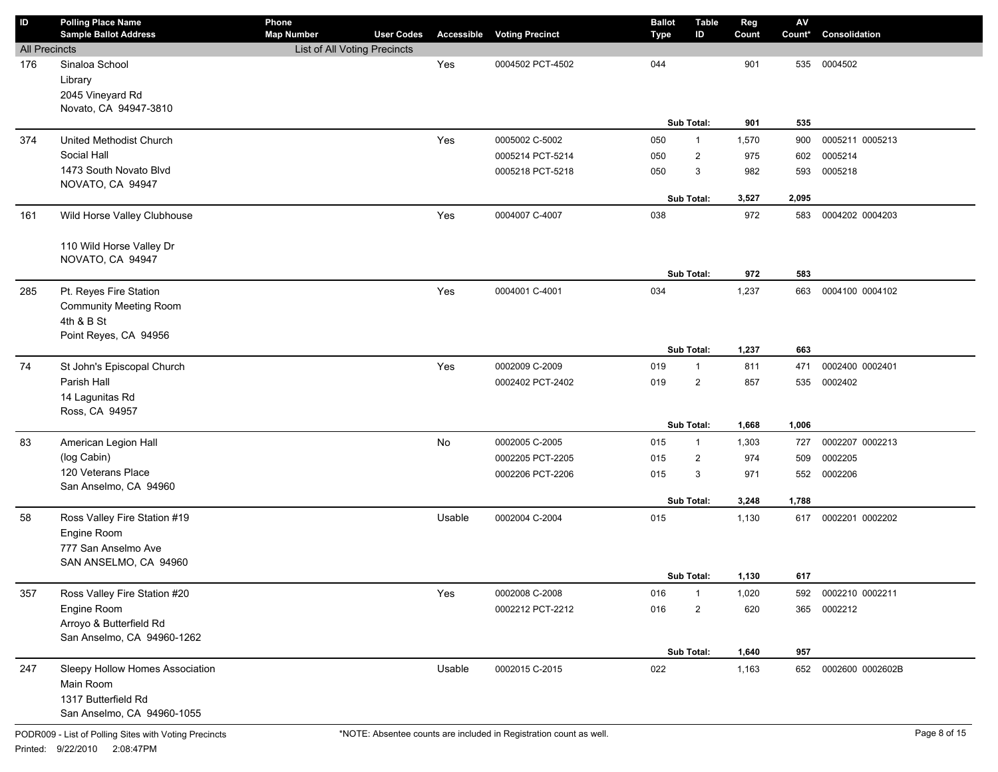| ID                   | <b>Polling Place Name</b><br><b>Sample Ballot Address</b> | Phone<br><b>Map Number</b>   | <b>User Codes</b> |        | <b>Accessible Voting Precinct</b> | <b>Ballot</b><br><b>Type</b> | Table<br>ID       | Reg<br>Count | AV<br>Count* | Consolidation        |
|----------------------|-----------------------------------------------------------|------------------------------|-------------------|--------|-----------------------------------|------------------------------|-------------------|--------------|--------------|----------------------|
| <b>All Precincts</b> |                                                           | List of All Voting Precincts |                   |        |                                   |                              |                   |              |              |                      |
| 176                  | Sinaloa School                                            |                              |                   | Yes    | 0004502 PCT-4502                  | 044                          |                   | 901          | 535          | 0004502              |
|                      | Library                                                   |                              |                   |        |                                   |                              |                   |              |              |                      |
|                      | 2045 Vineyard Rd                                          |                              |                   |        |                                   |                              |                   |              |              |                      |
|                      | Novato, CA 94947-3810                                     |                              |                   |        |                                   |                              |                   |              |              |                      |
|                      |                                                           |                              |                   |        |                                   |                              | Sub Total:        | 901          | 535          |                      |
| 374                  | United Methodist Church                                   |                              |                   | Yes    | 0005002 C-5002                    | 050                          | $\mathbf{1}$      | 1,570        | 900          | 0005211 0005213      |
|                      | Social Hall                                               |                              |                   |        | 0005214 PCT-5214                  | 050                          | $\overline{2}$    | 975          | 602          | 0005214              |
|                      | 1473 South Novato Blvd                                    |                              |                   |        | 0005218 PCT-5218                  | 050                          | 3                 | 982          | 593          | 0005218              |
|                      | NOVATO, CA 94947                                          |                              |                   |        |                                   |                              |                   |              |              |                      |
|                      |                                                           |                              |                   |        |                                   |                              | Sub Total:        | 3,527        | 2,095        |                      |
| 161                  | Wild Horse Valley Clubhouse                               |                              |                   | Yes    | 0004007 C-4007                    | 038                          |                   | 972          | 583          | 0004202 0004203      |
|                      |                                                           |                              |                   |        |                                   |                              |                   |              |              |                      |
|                      | 110 Wild Horse Valley Dr<br>NOVATO, CA 94947              |                              |                   |        |                                   |                              |                   |              |              |                      |
|                      |                                                           |                              |                   |        |                                   |                              | Sub Total:        | 972          | 583          |                      |
| 285                  | Pt. Reyes Fire Station                                    |                              |                   | Yes    | 0004001 C-4001                    | 034                          |                   | 1,237        | 663          | 0004100 0004102      |
|                      | <b>Community Meeting Room</b>                             |                              |                   |        |                                   |                              |                   |              |              |                      |
|                      | 4th & B St                                                |                              |                   |        |                                   |                              |                   |              |              |                      |
|                      | Point Reyes, CA 94956                                     |                              |                   |        |                                   |                              |                   |              |              |                      |
|                      |                                                           |                              |                   |        |                                   |                              | Sub Total:        | 1,237        | 663          |                      |
| 74                   | St John's Episcopal Church                                |                              |                   | Yes    | 0002009 C-2009                    | 019                          | $\mathbf{1}$      | 811          | 471          | 0002400 0002401      |
|                      | Parish Hall                                               |                              |                   |        | 0002402 PCT-2402                  | 019                          | $\overline{2}$    | 857          | 535          | 0002402              |
|                      | 14 Lagunitas Rd                                           |                              |                   |        |                                   |                              |                   |              |              |                      |
|                      | Ross, CA 94957                                            |                              |                   |        |                                   |                              |                   |              |              |                      |
|                      |                                                           |                              |                   |        |                                   |                              | <b>Sub Total:</b> | 1,668        | 1,006        |                      |
| 83                   | American Legion Hall                                      |                              |                   | No     | 0002005 C-2005                    | 015                          | $\mathbf{1}$      | 1,303        | 727          | 0002207 0002213      |
|                      | (log Cabin)                                               |                              |                   |        | 0002205 PCT-2205                  | 015                          | $\overline{2}$    | 974          | 509          | 0002205              |
|                      | 120 Veterans Place<br>San Anselmo, CA 94960               |                              |                   |        | 0002206 PCT-2206                  | 015                          | 3                 | 971          | 552          | 0002206              |
|                      |                                                           |                              |                   |        |                                   |                              | Sub Total:        | 3,248        | 1,788        |                      |
| 58                   | Ross Valley Fire Station #19                              |                              |                   | Usable | 0002004 C-2004                    | 015                          |                   | 1,130        | 617          | 0002201 0002202      |
|                      | Engine Room                                               |                              |                   |        |                                   |                              |                   |              |              |                      |
|                      | 777 San Anselmo Ave                                       |                              |                   |        |                                   |                              |                   |              |              |                      |
|                      | SAN ANSELMO, CA 94960                                     |                              |                   |        |                                   |                              |                   |              |              |                      |
|                      |                                                           |                              |                   |        |                                   |                              | Sub Total:        | 1,130        | 617          |                      |
| 357                  | Ross Valley Fire Station #20                              |                              |                   | Yes    | 0002008 C-2008                    | 016                          | -1                | 1,020        | 592          | 0002210 0002211      |
|                      | Engine Room                                               |                              |                   |        | 0002212 PCT-2212                  | 016                          | $\overline{2}$    | 620          | 365          | 0002212              |
|                      | Arroyo & Butterfield Rd                                   |                              |                   |        |                                   |                              |                   |              |              |                      |
|                      | San Anselmo, CA 94960-1262                                |                              |                   |        |                                   |                              |                   |              |              |                      |
|                      |                                                           |                              |                   |        |                                   |                              | Sub Total:        | 1,640        | 957          |                      |
| 247                  | Sleepy Hollow Homes Association                           |                              |                   | Usable | 0002015 C-2015                    | 022                          |                   | 1,163        |              | 652 0002600 0002602B |
|                      | Main Room                                                 |                              |                   |        |                                   |                              |                   |              |              |                      |
|                      | 1317 Butterfield Rd                                       |                              |                   |        |                                   |                              |                   |              |              |                      |
|                      | San Anselmo, CA 94960-1055                                |                              |                   |        |                                   |                              |                   |              |              |                      |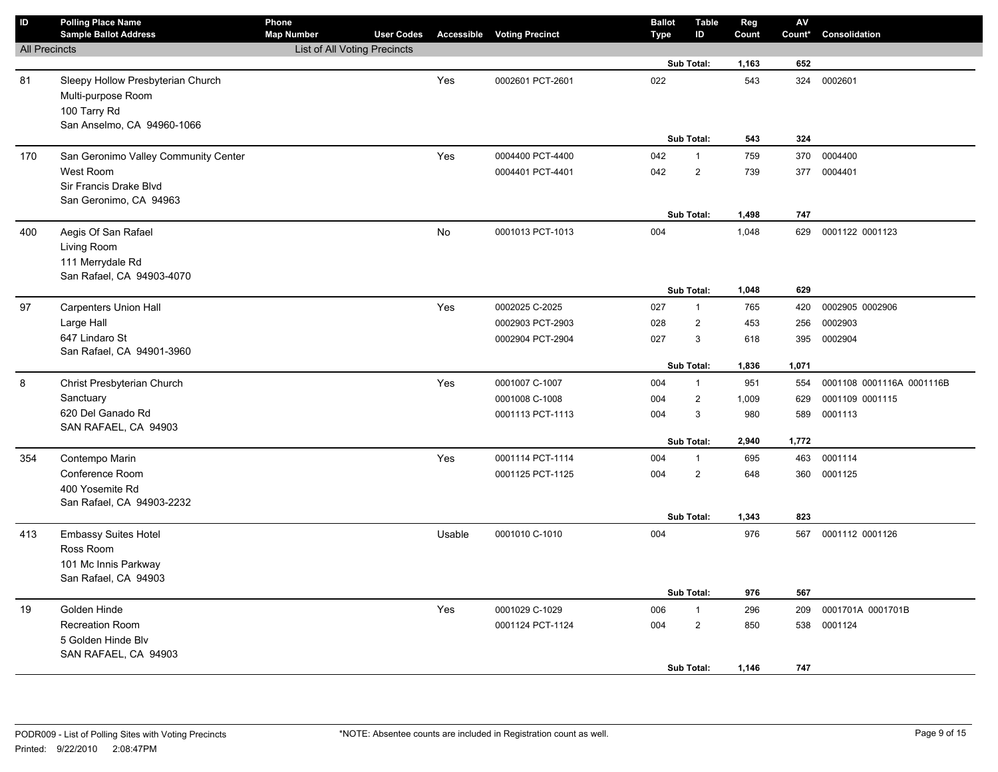| $\mathsf{ID}$        | <b>Polling Place Name</b><br><b>Sample Ballot Address</b> | Phone<br><b>Map Number</b>   | <b>User Codes</b> |        | <b>Accessible Voting Precinct</b> | <b>Ballot</b><br><b>Type</b> | <b>Table</b><br>ID | Reg<br>Count | ${\sf AV}$<br>Count* | Consolidation             |
|----------------------|-----------------------------------------------------------|------------------------------|-------------------|--------|-----------------------------------|------------------------------|--------------------|--------------|----------------------|---------------------------|
| <b>All Precincts</b> |                                                           | List of All Voting Precincts |                   |        |                                   |                              |                    |              |                      |                           |
|                      |                                                           |                              |                   |        |                                   |                              | Sub Total:         | 1,163        | 652                  |                           |
| 81                   | Sleepy Hollow Presbyterian Church<br>Multi-purpose Room   |                              |                   | Yes    | 0002601 PCT-2601                  | 022                          |                    | 543          | 324                  | 0002601                   |
|                      | 100 Tarry Rd                                              |                              |                   |        |                                   |                              |                    |              |                      |                           |
|                      | San Anselmo, CA 94960-1066                                |                              |                   |        |                                   |                              |                    |              |                      |                           |
|                      |                                                           |                              |                   |        |                                   |                              | Sub Total:         | 543          | 324                  |                           |
| 170                  | San Geronimo Valley Community Center                      |                              |                   | Yes    | 0004400 PCT-4400                  | 042                          | $\mathbf{1}$       | 759          | 370                  | 0004400                   |
|                      | West Room                                                 |                              |                   |        | 0004401 PCT-4401                  | 042                          | $\overline{2}$     | 739          | 377                  | 0004401                   |
|                      | Sir Francis Drake Blvd<br>San Geronimo, CA 94963          |                              |                   |        |                                   |                              |                    |              |                      |                           |
|                      |                                                           |                              |                   |        |                                   |                              | Sub Total:         | 1,498        | 747                  |                           |
| 400                  | Aegis Of San Rafael                                       |                              |                   | No     | 0001013 PCT-1013                  | 004                          |                    | 1,048        | 629                  | 0001122 0001123           |
|                      | Living Room                                               |                              |                   |        |                                   |                              |                    |              |                      |                           |
|                      | 111 Merrydale Rd                                          |                              |                   |        |                                   |                              |                    |              |                      |                           |
|                      | San Rafael, CA 94903-4070                                 |                              |                   |        |                                   |                              |                    |              |                      |                           |
|                      |                                                           |                              |                   |        |                                   |                              | Sub Total:         | 1,048        | 629                  |                           |
| 97                   | <b>Carpenters Union Hall</b>                              |                              |                   | Yes    | 0002025 C-2025                    | 027                          | $\mathbf{1}$       | 765          | 420                  | 0002905 0002906           |
|                      | Large Hall                                                |                              |                   |        | 0002903 PCT-2903                  | 028                          | $\overline{2}$     | 453          | 256                  | 0002903                   |
|                      | 647 Lindaro St                                            |                              |                   |        | 0002904 PCT-2904                  | 027                          | 3                  | 618          | 395                  | 0002904                   |
|                      | San Rafael, CA 94901-3960                                 |                              |                   |        |                                   |                              | Sub Total:         | 1,836        | 1,071                |                           |
| 8                    | Christ Presbyterian Church                                |                              |                   | Yes    | 0001007 C-1007                    | 004                          | $\mathbf{1}$       | 951          | 554                  | 0001108 0001116A 0001116B |
|                      | Sanctuary                                                 |                              |                   |        | 0001008 C-1008                    | 004                          | $\overline{2}$     | 1,009        | 629                  | 0001109 0001115           |
|                      | 620 Del Ganado Rd                                         |                              |                   |        | 0001113 PCT-1113                  | 004                          | 3                  | 980          | 589                  | 0001113                   |
|                      | SAN RAFAEL, CA 94903                                      |                              |                   |        |                                   |                              |                    |              |                      |                           |
|                      |                                                           |                              |                   |        |                                   |                              | Sub Total:         | 2,940        | 1,772                |                           |
| 354                  | Contempo Marin                                            |                              |                   | Yes    | 0001114 PCT-1114                  | 004                          | $\mathbf{1}$       | 695          | 463                  | 0001114                   |
|                      | Conference Room                                           |                              |                   |        | 0001125 PCT-1125                  | 004                          | $\overline{2}$     | 648          | 360                  | 0001125                   |
|                      | 400 Yosemite Rd                                           |                              |                   |        |                                   |                              |                    |              |                      |                           |
|                      | San Rafael, CA 94903-2232                                 |                              |                   |        |                                   |                              |                    |              |                      |                           |
|                      |                                                           |                              |                   |        |                                   |                              | Sub Total:         | 1,343        | 823                  |                           |
| 413                  | <b>Embassy Suites Hotel</b><br>Ross Room                  |                              |                   | Usable | 0001010 C-1010                    | 004                          |                    | 976          | 567                  | 0001112 0001126           |
|                      | 101 Mc Innis Parkway                                      |                              |                   |        |                                   |                              |                    |              |                      |                           |
|                      | San Rafael, CA 94903                                      |                              |                   |        |                                   |                              |                    |              |                      |                           |
|                      |                                                           |                              |                   |        |                                   |                              | Sub Total:         | 976          | 567                  |                           |
| 19                   | Golden Hinde                                              |                              |                   | Yes    | 0001029 C-1029                    | 006                          | $\mathbf{1}$       | 296          | 209                  | 0001701A 0001701B         |
|                      | <b>Recreation Room</b>                                    |                              |                   |        | 0001124 PCT-1124                  | 004                          | $\overline{2}$     | 850          | 538                  | 0001124                   |
|                      | 5 Golden Hinde Blv                                        |                              |                   |        |                                   |                              |                    |              |                      |                           |
|                      | SAN RAFAEL, CA 94903                                      |                              |                   |        |                                   |                              |                    |              |                      |                           |
|                      |                                                           |                              |                   |        |                                   |                              | Sub Total:         | 1,146        | 747                  |                           |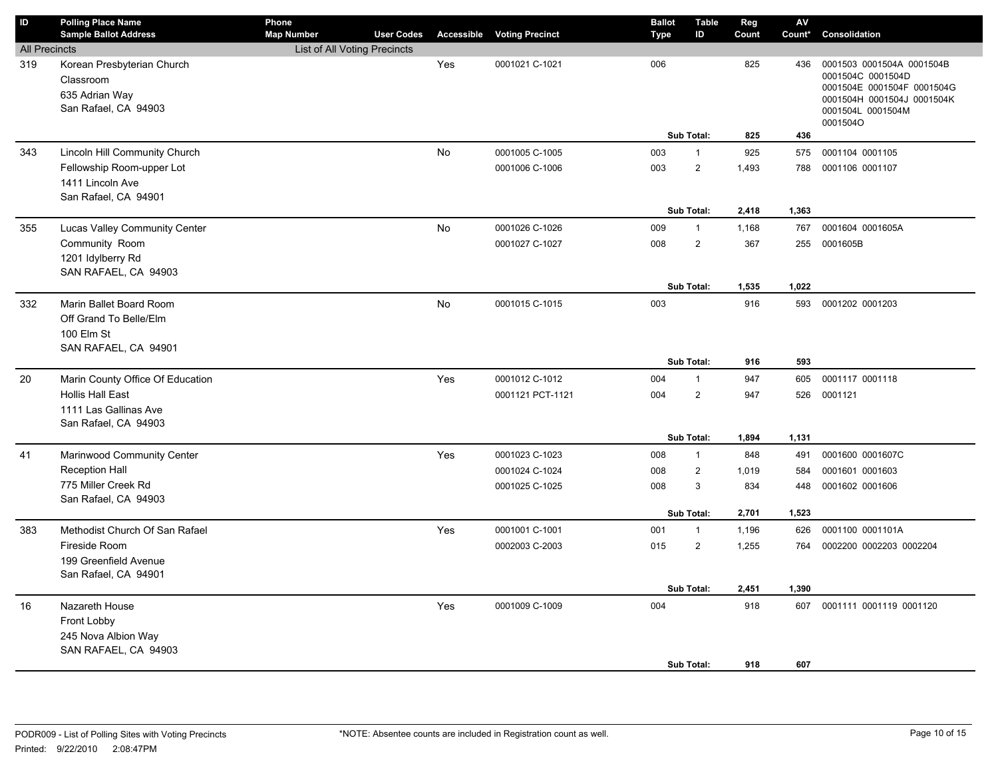| ID                   | <b>Polling Place Name</b><br><b>Sample Ballot Address</b>                               | Phone<br><b>Map Number</b>   | <b>User Codes</b> | Accessible | <b>Voting Precinct</b> | <b>Ballot</b><br><b>Type</b> | <b>Table</b><br>ID | Reg<br>Count | AV<br>Count* | Consolidation                                                                                                                               |
|----------------------|-----------------------------------------------------------------------------------------|------------------------------|-------------------|------------|------------------------|------------------------------|--------------------|--------------|--------------|---------------------------------------------------------------------------------------------------------------------------------------------|
| <b>All Precincts</b> |                                                                                         | List of All Voting Precincts |                   |            |                        |                              |                    |              |              |                                                                                                                                             |
| 319                  | Korean Presbyterian Church<br>Classroom<br>635 Adrian Way<br>San Rafael, CA 94903       |                              |                   | Yes        | 0001021 C-1021         | 006                          |                    | 825          | 436          | 0001503 0001504A 0001504B<br>0001504C 0001504D<br>0001504E 0001504F 0001504G<br>0001504H 0001504J 0001504K<br>0001504L 0001504M<br>0001504O |
|                      |                                                                                         |                              |                   |            |                        |                              | Sub Total:         | 825          | 436          |                                                                                                                                             |
| 343                  | Lincoln Hill Community Church                                                           |                              |                   | <b>No</b>  | 0001005 C-1005         | 003                          | $\mathbf{1}$       | 925          | 575          | 0001104 0001105                                                                                                                             |
|                      | Fellowship Room-upper Lot<br>1411 Lincoln Ave<br>San Rafael, CA 94901                   |                              |                   |            | 0001006 C-1006         | 003                          | $\overline{2}$     | 1,493        | 788          | 0001106 0001107                                                                                                                             |
|                      |                                                                                         |                              |                   |            |                        |                              | Sub Total:         | 2,418        | 1,363        |                                                                                                                                             |
| 355                  | Lucas Valley Community Center                                                           |                              |                   | No         | 0001026 C-1026         | 009                          | $\mathbf{1}$       | 1,168        | 767          | 0001604 0001605A                                                                                                                            |
|                      | Community Room<br>1201 Idylberry Rd<br>SAN RAFAEL, CA 94903                             |                              |                   |            | 0001027 C-1027         | 008                          | $\overline{2}$     | 367          | 255          | 0001605B                                                                                                                                    |
|                      |                                                                                         |                              |                   |            |                        |                              | Sub Total:         | 1,535        | 1,022        |                                                                                                                                             |
| 332                  | Marin Ballet Board Room<br>Off Grand To Belle/Elm<br>100 Elm St<br>SAN RAFAEL, CA 94901 |                              |                   | <b>No</b>  | 0001015 C-1015         | 003                          |                    | 916          | 593          | 0001202 0001203                                                                                                                             |
|                      |                                                                                         |                              |                   |            |                        |                              | Sub Total:         | 916          | 593          |                                                                                                                                             |
| 20                   | Marin County Office Of Education                                                        |                              |                   | Yes        | 0001012 C-1012         | 004                          | $\mathbf{1}$       | 947          | 605          | 0001117 0001118                                                                                                                             |
|                      | <b>Hollis Hall East</b>                                                                 |                              |                   |            | 0001121 PCT-1121       | 004                          | $\overline{2}$     | 947          | 526          | 0001121                                                                                                                                     |
|                      | 1111 Las Gallinas Ave                                                                   |                              |                   |            |                        |                              |                    |              |              |                                                                                                                                             |
|                      | San Rafael, CA 94903                                                                    |                              |                   |            |                        |                              | <b>Sub Total:</b>  | 1,894        | 1,131        |                                                                                                                                             |
| 41                   | Marinwood Community Center                                                              |                              |                   | Yes        | 0001023 C-1023         | 008                          | $\mathbf{1}$       | 848          | 491          | 0001600 0001607C                                                                                                                            |
|                      | <b>Reception Hall</b>                                                                   |                              |                   |            | 0001024 C-1024         | 008                          | $\overline{2}$     | 1,019        | 584          | 0001601 0001603                                                                                                                             |
|                      | 775 Miller Creek Rd                                                                     |                              |                   |            | 0001025 C-1025         | 008                          | $\mathbf{3}$       | 834          | 448          | 0001602 0001606                                                                                                                             |
|                      | San Rafael, CA 94903                                                                    |                              |                   |            |                        |                              |                    |              |              |                                                                                                                                             |
|                      |                                                                                         |                              |                   |            |                        |                              | Sub Total:         | 2,701        | 1,523        |                                                                                                                                             |
| 383                  | Methodist Church Of San Rafael                                                          |                              |                   | Yes        | 0001001 C-1001         | 001                          | $\overline{1}$     | 1,196        | 626          | 0001100 0001101A                                                                                                                            |
|                      | Fireside Room                                                                           |                              |                   |            | 0002003 C-2003         | 015                          | $\overline{2}$     | 1,255        | 764          | 0002200 0002203 0002204                                                                                                                     |
|                      | 199 Greenfield Avenue                                                                   |                              |                   |            |                        |                              |                    |              |              |                                                                                                                                             |
|                      | San Rafael, CA 94901                                                                    |                              |                   |            |                        |                              |                    |              |              |                                                                                                                                             |
|                      |                                                                                         |                              |                   |            |                        |                              | Sub Total:         | 2,451        | 1,390        |                                                                                                                                             |
| 16                   | Nazareth House                                                                          |                              |                   | Yes        | 0001009 C-1009         | 004                          |                    | 918          | 607          | 0001111 0001119 0001120                                                                                                                     |
|                      | Front Lobby<br>245 Nova Albion Way                                                      |                              |                   |            |                        |                              |                    |              |              |                                                                                                                                             |
|                      | SAN RAFAEL, CA 94903                                                                    |                              |                   |            |                        |                              |                    |              |              |                                                                                                                                             |
|                      |                                                                                         |                              |                   |            |                        |                              | Sub Total:         | 918          | 607          |                                                                                                                                             |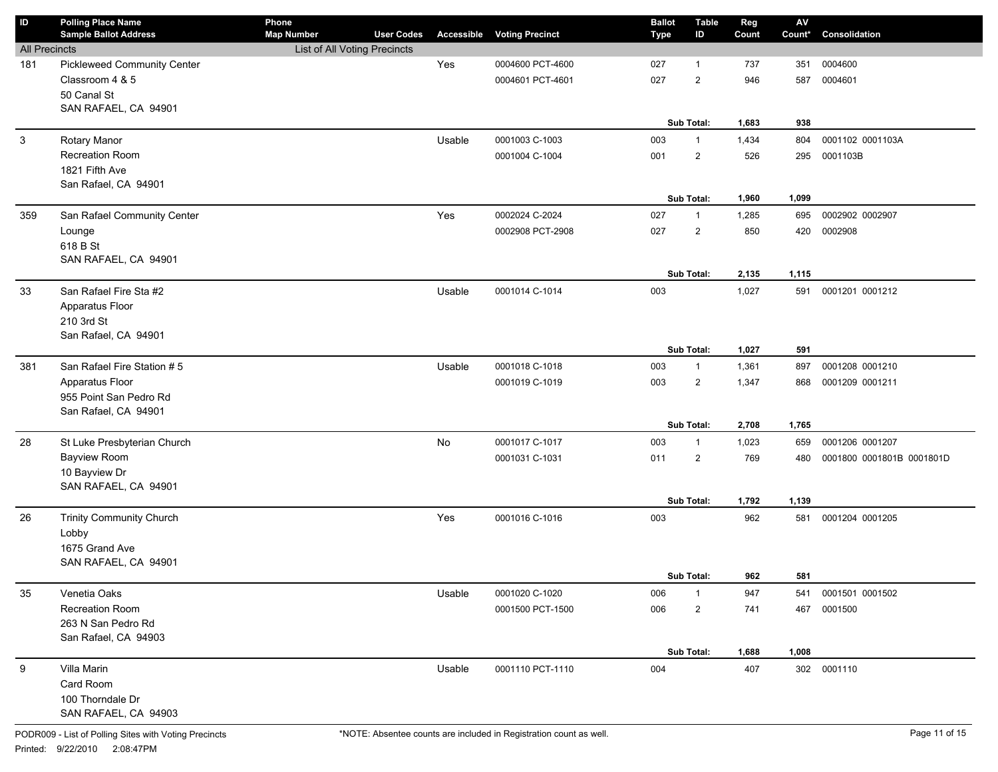| ID                   | <b>Polling Place Name</b><br><b>Sample Ballot Address</b> | Phone<br><b>Map Number</b>   | <b>User Codes</b> | Accessible | <b>Voting Precinct</b> | <b>Ballot</b><br><b>Type</b> | <b>Table</b><br>ID | Reg<br>Count | $\mathsf{AV}$<br>Count* | Consolidation             |
|----------------------|-----------------------------------------------------------|------------------------------|-------------------|------------|------------------------|------------------------------|--------------------|--------------|-------------------------|---------------------------|
| <b>All Precincts</b> |                                                           | List of All Voting Precincts |                   |            |                        |                              |                    |              |                         |                           |
| 181                  | <b>Pickleweed Community Center</b>                        |                              |                   | Yes        | 0004600 PCT-4600       | 027                          | $\mathbf 1$        | 737          | 351                     | 0004600                   |
|                      | Classroom 4 & 5                                           |                              |                   |            | 0004601 PCT-4601       | 027                          | $\overline{2}$     | 946          | 587                     | 0004601                   |
|                      | 50 Canal St                                               |                              |                   |            |                        |                              |                    |              |                         |                           |
|                      | SAN RAFAEL, CA 94901                                      |                              |                   |            |                        |                              |                    |              |                         |                           |
|                      |                                                           |                              |                   |            |                        |                              | Sub Total:         | 1,683        | 938                     |                           |
| 3                    | Rotary Manor                                              |                              |                   | Usable     | 0001003 C-1003         | 003                          | $\mathbf{1}$       | 1,434        | 804                     | 0001102 0001103A          |
|                      | Recreation Room                                           |                              |                   |            | 0001004 C-1004         | 001                          | $\overline{2}$     | 526          | 295                     | 0001103B                  |
|                      | 1821 Fifth Ave                                            |                              |                   |            |                        |                              |                    |              |                         |                           |
|                      | San Rafael, CA 94901                                      |                              |                   |            |                        |                              |                    |              |                         |                           |
|                      |                                                           |                              |                   |            |                        |                              | Sub Total:         | 1,960        | 1,099                   |                           |
| 359                  | San Rafael Community Center                               |                              |                   | Yes        | 0002024 C-2024         | 027                          | $\mathbf{1}$       | 1,285        | 695                     | 0002902 0002907           |
|                      | Lounge                                                    |                              |                   |            | 0002908 PCT-2908       | 027                          | $\overline{2}$     | 850          | 420                     | 0002908                   |
|                      | 618 B St                                                  |                              |                   |            |                        |                              |                    |              |                         |                           |
|                      | SAN RAFAEL, CA 94901                                      |                              |                   |            |                        |                              |                    |              |                         |                           |
|                      |                                                           |                              |                   |            |                        |                              | Sub Total:         | 2,135        | 1,115                   |                           |
| 33                   | San Rafael Fire Sta #2                                    |                              |                   | Usable     | 0001014 C-1014         | 003                          |                    | 1,027        | 591                     | 0001201 0001212           |
|                      | Apparatus Floor                                           |                              |                   |            |                        |                              |                    |              |                         |                           |
|                      | 210 3rd St                                                |                              |                   |            |                        |                              |                    |              |                         |                           |
|                      | San Rafael, CA 94901                                      |                              |                   |            |                        |                              | Sub Total:         | 1,027        | 591                     |                           |
|                      |                                                           |                              |                   |            |                        |                              |                    |              |                         |                           |
| 381                  | San Rafael Fire Station #5                                |                              |                   | Usable     | 0001018 C-1018         | 003                          | $\mathbf{1}$       | 1,361        | 897                     | 0001208 0001210           |
|                      | Apparatus Floor                                           |                              |                   |            | 0001019 C-1019         | 003                          | $\overline{2}$     | 1,347        | 868                     | 0001209 0001211           |
|                      | 955 Point San Pedro Rd<br>San Rafael, CA 94901            |                              |                   |            |                        |                              |                    |              |                         |                           |
|                      |                                                           |                              |                   |            |                        |                              | Sub Total:         | 2,708        | 1,765                   |                           |
| 28                   | St Luke Presbyterian Church                               |                              |                   | No         | 0001017 C-1017         | 003                          | $\mathbf{1}$       | 1,023        | 659                     | 0001206 0001207           |
|                      | <b>Bayview Room</b>                                       |                              |                   |            | 0001031 C-1031         | 011                          | $\overline{2}$     | 769          | 480                     | 0001800 0001801B 0001801D |
|                      | 10 Bayview Dr                                             |                              |                   |            |                        |                              |                    |              |                         |                           |
|                      | SAN RAFAEL, CA 94901                                      |                              |                   |            |                        |                              |                    |              |                         |                           |
|                      |                                                           |                              |                   |            |                        |                              | Sub Total:         | 1,792        | 1,139                   |                           |
| 26                   | Trinity Community Church                                  |                              |                   | Yes        | 0001016 C-1016         | 003                          |                    | 962          | 581                     | 0001204 0001205           |
|                      | Lobby                                                     |                              |                   |            |                        |                              |                    |              |                         |                           |
|                      | 1675 Grand Ave                                            |                              |                   |            |                        |                              |                    |              |                         |                           |
|                      | SAN RAFAEL, CA 94901                                      |                              |                   |            |                        |                              |                    |              |                         |                           |
|                      |                                                           |                              |                   |            |                        |                              | Sub Total:         | 962          | 581                     |                           |
| 35                   | Venetia Oaks                                              |                              |                   | Usable     | 0001020 C-1020         | 006                          | $\mathbf 1$        | 947          | 541                     | 0001501 0001502           |
|                      | Recreation Room                                           |                              |                   |            | 0001500 PCT-1500       | 006                          | $\overline{2}$     | 741          | 467                     | 0001500                   |
|                      | 263 N San Pedro Rd                                        |                              |                   |            |                        |                              |                    |              |                         |                           |
|                      | San Rafael, CA 94903                                      |                              |                   |            |                        |                              |                    |              |                         |                           |
|                      |                                                           |                              |                   |            |                        |                              | Sub Total:         | 1,688        | 1,008                   |                           |
| 9                    | Villa Marin                                               |                              |                   | Usable     | 0001110 PCT-1110       | 004                          |                    | 407          |                         | 302 0001110               |
|                      | Card Room                                                 |                              |                   |            |                        |                              |                    |              |                         |                           |
|                      | 100 Thorndale Dr                                          |                              |                   |            |                        |                              |                    |              |                         |                           |
|                      | SAN RAFAEL, CA 94903                                      |                              |                   |            |                        |                              |                    |              |                         |                           |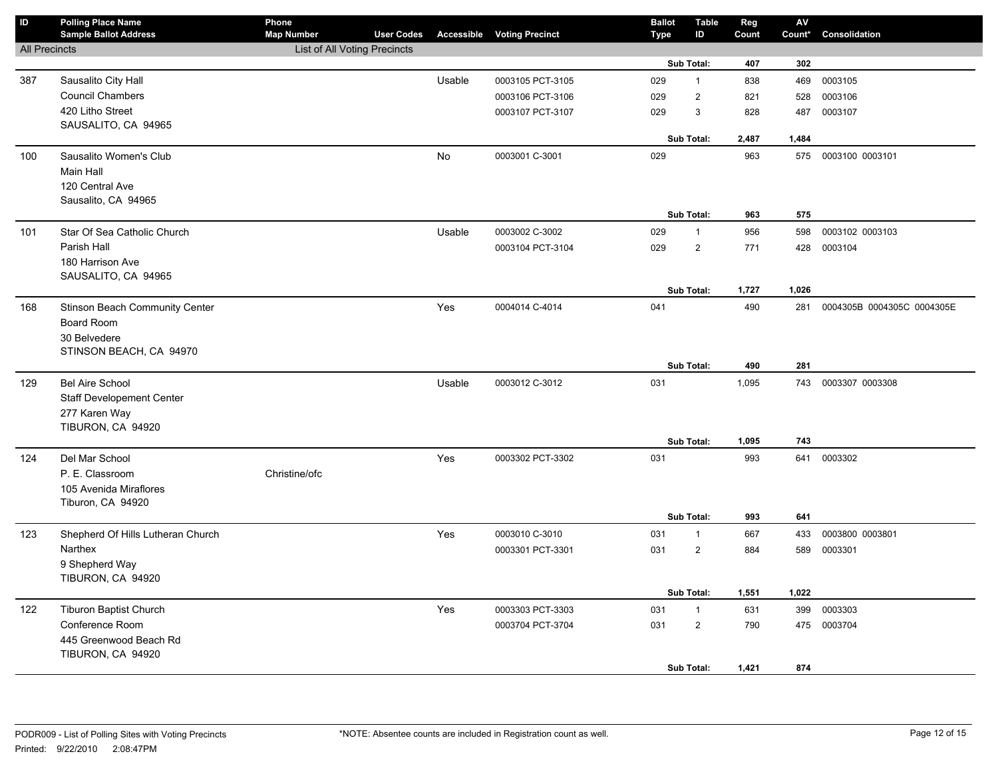| <b>All Precincts</b><br>List of All Voting Precincts<br>Sub Total:<br>302<br>407<br>Sausalito City Hall<br>Usable<br>0003105<br>0003105 PCT-3105<br>029<br>$\mathbf{1}$<br>838<br>469<br>387<br><b>Council Chambers</b><br>$\overline{2}$<br>029<br>0003106<br>0003106 PCT-3106<br>821<br>528<br>420 Litho Street<br>0003107 PCT-3107<br>029<br>3<br>828<br>0003107<br>487<br>SAUSALITO, CA 94965<br>Sub Total:<br>2,487<br>1,484<br>No<br>100<br>Sausalito Women's Club<br>0003001 C-3001<br>029<br>963<br>575 0003100 0003101<br>Main Hall<br>120 Central Ave<br>Sausalito, CA 94965<br>575<br>Sub Total:<br>963<br>0003002 C-3002<br>029<br>956<br>0003102 0003103<br>101<br>Star Of Sea Catholic Church<br>Usable<br>$\mathbf{1}$<br>598<br>Parish Hall<br>$\overline{2}$<br>029<br>771<br>0003104<br>0003104 PCT-3104<br>428<br>180 Harrison Ave<br>SAUSALITO, CA 94965<br>Sub Total:<br>1,727<br>1,026<br>Stinson Beach Community Center<br>Yes<br>0004014 C-4014<br>041<br>490<br>281<br>0004305B 0004305C 0004305E<br>168<br>Board Room<br>30 Belvedere<br>STINSON BEACH, CA 94970<br>Sub Total:<br>490<br>281<br>031<br>129<br><b>Bel Aire School</b><br>Usable<br>0003012 C-3012<br>0003307 0003308<br>1,095<br>743<br><b>Staff Developement Center</b><br>277 Karen Way<br>TIBURON, CA 94920<br>Sub Total:<br>1,095<br>743<br>Del Mar School<br>Yes<br>031<br>993<br>641<br>0003302<br>124<br>0003302 PCT-3302<br>P. E. Classroom<br>Christine/ofc<br>105 Avenida Miraflores | $\overline{D}$ | <b>Polling Place Name</b><br><b>Sample Ballot Address</b> | Phone<br><b>Map Number</b> | <b>User Codes</b> | <b>Accessible Voting Precinct</b> | <b>Ballot</b><br><b>Type</b> | <b>Table</b><br>ID | Reg<br>Count | $\mathsf{AV}$<br>Count* | Consolidation |
|-----------------------------------------------------------------------------------------------------------------------------------------------------------------------------------------------------------------------------------------------------------------------------------------------------------------------------------------------------------------------------------------------------------------------------------------------------------------------------------------------------------------------------------------------------------------------------------------------------------------------------------------------------------------------------------------------------------------------------------------------------------------------------------------------------------------------------------------------------------------------------------------------------------------------------------------------------------------------------------------------------------------------------------------------------------------------------------------------------------------------------------------------------------------------------------------------------------------------------------------------------------------------------------------------------------------------------------------------------------------------------------------------------------------------------------------------------------------------------------------|----------------|-----------------------------------------------------------|----------------------------|-------------------|-----------------------------------|------------------------------|--------------------|--------------|-------------------------|---------------|
|                                                                                                                                                                                                                                                                                                                                                                                                                                                                                                                                                                                                                                                                                                                                                                                                                                                                                                                                                                                                                                                                                                                                                                                                                                                                                                                                                                                                                                                                                         |                |                                                           |                            |                   |                                   |                              |                    |              |                         |               |
|                                                                                                                                                                                                                                                                                                                                                                                                                                                                                                                                                                                                                                                                                                                                                                                                                                                                                                                                                                                                                                                                                                                                                                                                                                                                                                                                                                                                                                                                                         |                |                                                           |                            |                   |                                   |                              |                    |              |                         |               |
|                                                                                                                                                                                                                                                                                                                                                                                                                                                                                                                                                                                                                                                                                                                                                                                                                                                                                                                                                                                                                                                                                                                                                                                                                                                                                                                                                                                                                                                                                         |                |                                                           |                            |                   |                                   |                              |                    |              |                         |               |
|                                                                                                                                                                                                                                                                                                                                                                                                                                                                                                                                                                                                                                                                                                                                                                                                                                                                                                                                                                                                                                                                                                                                                                                                                                                                                                                                                                                                                                                                                         |                |                                                           |                            |                   |                                   |                              |                    |              |                         |               |
|                                                                                                                                                                                                                                                                                                                                                                                                                                                                                                                                                                                                                                                                                                                                                                                                                                                                                                                                                                                                                                                                                                                                                                                                                                                                                                                                                                                                                                                                                         |                |                                                           |                            |                   |                                   |                              |                    |              |                         |               |
|                                                                                                                                                                                                                                                                                                                                                                                                                                                                                                                                                                                                                                                                                                                                                                                                                                                                                                                                                                                                                                                                                                                                                                                                                                                                                                                                                                                                                                                                                         |                |                                                           |                            |                   |                                   |                              |                    |              |                         |               |
|                                                                                                                                                                                                                                                                                                                                                                                                                                                                                                                                                                                                                                                                                                                                                                                                                                                                                                                                                                                                                                                                                                                                                                                                                                                                                                                                                                                                                                                                                         |                |                                                           |                            |                   |                                   |                              |                    |              |                         |               |
|                                                                                                                                                                                                                                                                                                                                                                                                                                                                                                                                                                                                                                                                                                                                                                                                                                                                                                                                                                                                                                                                                                                                                                                                                                                                                                                                                                                                                                                                                         |                |                                                           |                            |                   |                                   |                              |                    |              |                         |               |
|                                                                                                                                                                                                                                                                                                                                                                                                                                                                                                                                                                                                                                                                                                                                                                                                                                                                                                                                                                                                                                                                                                                                                                                                                                                                                                                                                                                                                                                                                         |                |                                                           |                            |                   |                                   |                              |                    |              |                         |               |
|                                                                                                                                                                                                                                                                                                                                                                                                                                                                                                                                                                                                                                                                                                                                                                                                                                                                                                                                                                                                                                                                                                                                                                                                                                                                                                                                                                                                                                                                                         |                |                                                           |                            |                   |                                   |                              |                    |              |                         |               |
|                                                                                                                                                                                                                                                                                                                                                                                                                                                                                                                                                                                                                                                                                                                                                                                                                                                                                                                                                                                                                                                                                                                                                                                                                                                                                                                                                                                                                                                                                         |                |                                                           |                            |                   |                                   |                              |                    |              |                         |               |
|                                                                                                                                                                                                                                                                                                                                                                                                                                                                                                                                                                                                                                                                                                                                                                                                                                                                                                                                                                                                                                                                                                                                                                                                                                                                                                                                                                                                                                                                                         |                |                                                           |                            |                   |                                   |                              |                    |              |                         |               |
|                                                                                                                                                                                                                                                                                                                                                                                                                                                                                                                                                                                                                                                                                                                                                                                                                                                                                                                                                                                                                                                                                                                                                                                                                                                                                                                                                                                                                                                                                         |                |                                                           |                            |                   |                                   |                              |                    |              |                         |               |
|                                                                                                                                                                                                                                                                                                                                                                                                                                                                                                                                                                                                                                                                                                                                                                                                                                                                                                                                                                                                                                                                                                                                                                                                                                                                                                                                                                                                                                                                                         |                |                                                           |                            |                   |                                   |                              |                    |              |                         |               |
|                                                                                                                                                                                                                                                                                                                                                                                                                                                                                                                                                                                                                                                                                                                                                                                                                                                                                                                                                                                                                                                                                                                                                                                                                                                                                                                                                                                                                                                                                         |                |                                                           |                            |                   |                                   |                              |                    |              |                         |               |
|                                                                                                                                                                                                                                                                                                                                                                                                                                                                                                                                                                                                                                                                                                                                                                                                                                                                                                                                                                                                                                                                                                                                                                                                                                                                                                                                                                                                                                                                                         |                |                                                           |                            |                   |                                   |                              |                    |              |                         |               |
|                                                                                                                                                                                                                                                                                                                                                                                                                                                                                                                                                                                                                                                                                                                                                                                                                                                                                                                                                                                                                                                                                                                                                                                                                                                                                                                                                                                                                                                                                         |                |                                                           |                            |                   |                                   |                              |                    |              |                         |               |
|                                                                                                                                                                                                                                                                                                                                                                                                                                                                                                                                                                                                                                                                                                                                                                                                                                                                                                                                                                                                                                                                                                                                                                                                                                                                                                                                                                                                                                                                                         |                |                                                           |                            |                   |                                   |                              |                    |              |                         |               |
|                                                                                                                                                                                                                                                                                                                                                                                                                                                                                                                                                                                                                                                                                                                                                                                                                                                                                                                                                                                                                                                                                                                                                                                                                                                                                                                                                                                                                                                                                         |                |                                                           |                            |                   |                                   |                              |                    |              |                         |               |
|                                                                                                                                                                                                                                                                                                                                                                                                                                                                                                                                                                                                                                                                                                                                                                                                                                                                                                                                                                                                                                                                                                                                                                                                                                                                                                                                                                                                                                                                                         |                |                                                           |                            |                   |                                   |                              |                    |              |                         |               |
|                                                                                                                                                                                                                                                                                                                                                                                                                                                                                                                                                                                                                                                                                                                                                                                                                                                                                                                                                                                                                                                                                                                                                                                                                                                                                                                                                                                                                                                                                         |                |                                                           |                            |                   |                                   |                              |                    |              |                         |               |
|                                                                                                                                                                                                                                                                                                                                                                                                                                                                                                                                                                                                                                                                                                                                                                                                                                                                                                                                                                                                                                                                                                                                                                                                                                                                                                                                                                                                                                                                                         |                |                                                           |                            |                   |                                   |                              |                    |              |                         |               |
|                                                                                                                                                                                                                                                                                                                                                                                                                                                                                                                                                                                                                                                                                                                                                                                                                                                                                                                                                                                                                                                                                                                                                                                                                                                                                                                                                                                                                                                                                         |                |                                                           |                            |                   |                                   |                              |                    |              |                         |               |
|                                                                                                                                                                                                                                                                                                                                                                                                                                                                                                                                                                                                                                                                                                                                                                                                                                                                                                                                                                                                                                                                                                                                                                                                                                                                                                                                                                                                                                                                                         |                |                                                           |                            |                   |                                   |                              |                    |              |                         |               |
|                                                                                                                                                                                                                                                                                                                                                                                                                                                                                                                                                                                                                                                                                                                                                                                                                                                                                                                                                                                                                                                                                                                                                                                                                                                                                                                                                                                                                                                                                         |                |                                                           |                            |                   |                                   |                              |                    |              |                         |               |
|                                                                                                                                                                                                                                                                                                                                                                                                                                                                                                                                                                                                                                                                                                                                                                                                                                                                                                                                                                                                                                                                                                                                                                                                                                                                                                                                                                                                                                                                                         |                |                                                           |                            |                   |                                   |                              |                    |              |                         |               |
|                                                                                                                                                                                                                                                                                                                                                                                                                                                                                                                                                                                                                                                                                                                                                                                                                                                                                                                                                                                                                                                                                                                                                                                                                                                                                                                                                                                                                                                                                         |                |                                                           |                            |                   |                                   |                              |                    |              |                         |               |
|                                                                                                                                                                                                                                                                                                                                                                                                                                                                                                                                                                                                                                                                                                                                                                                                                                                                                                                                                                                                                                                                                                                                                                                                                                                                                                                                                                                                                                                                                         |                |                                                           |                            |                   |                                   |                              |                    |              |                         |               |
|                                                                                                                                                                                                                                                                                                                                                                                                                                                                                                                                                                                                                                                                                                                                                                                                                                                                                                                                                                                                                                                                                                                                                                                                                                                                                                                                                                                                                                                                                         |                |                                                           |                            |                   |                                   |                              |                    |              |                         |               |
| Tiburon, CA 94920                                                                                                                                                                                                                                                                                                                                                                                                                                                                                                                                                                                                                                                                                                                                                                                                                                                                                                                                                                                                                                                                                                                                                                                                                                                                                                                                                                                                                                                                       |                |                                                           |                            |                   |                                   |                              |                    |              |                         |               |
| Sub Total:<br>993<br>641                                                                                                                                                                                                                                                                                                                                                                                                                                                                                                                                                                                                                                                                                                                                                                                                                                                                                                                                                                                                                                                                                                                                                                                                                                                                                                                                                                                                                                                                |                |                                                           |                            |                   |                                   |                              |                    |              |                         |               |
| Yes<br>Shepherd Of Hills Lutheran Church<br>0003010 C-3010<br>031<br>667<br>0003800 0003801<br>123<br>$\mathbf{1}$<br>433                                                                                                                                                                                                                                                                                                                                                                                                                                                                                                                                                                                                                                                                                                                                                                                                                                                                                                                                                                                                                                                                                                                                                                                                                                                                                                                                                               |                |                                                           |                            |                   |                                   |                              |                    |              |                         |               |
| Narthex<br>$\overline{2}$<br>0003301 PCT-3301<br>031<br>884<br>589<br>0003301                                                                                                                                                                                                                                                                                                                                                                                                                                                                                                                                                                                                                                                                                                                                                                                                                                                                                                                                                                                                                                                                                                                                                                                                                                                                                                                                                                                                           |                |                                                           |                            |                   |                                   |                              |                    |              |                         |               |
| 9 Shepherd Way                                                                                                                                                                                                                                                                                                                                                                                                                                                                                                                                                                                                                                                                                                                                                                                                                                                                                                                                                                                                                                                                                                                                                                                                                                                                                                                                                                                                                                                                          |                |                                                           |                            |                   |                                   |                              |                    |              |                         |               |
| TIBURON, CA 94920                                                                                                                                                                                                                                                                                                                                                                                                                                                                                                                                                                                                                                                                                                                                                                                                                                                                                                                                                                                                                                                                                                                                                                                                                                                                                                                                                                                                                                                                       |                |                                                           |                            |                   |                                   |                              |                    |              |                         |               |
| Sub Total:<br>1,551<br>1,022                                                                                                                                                                                                                                                                                                                                                                                                                                                                                                                                                                                                                                                                                                                                                                                                                                                                                                                                                                                                                                                                                                                                                                                                                                                                                                                                                                                                                                                            |                |                                                           |                            |                   |                                   |                              |                    |              |                         |               |
| <b>Tiburon Baptist Church</b><br>Yes<br>0003303<br>0003303 PCT-3303<br>031<br>$\mathbf{1}$<br>631<br>399<br>122                                                                                                                                                                                                                                                                                                                                                                                                                                                                                                                                                                                                                                                                                                                                                                                                                                                                                                                                                                                                                                                                                                                                                                                                                                                                                                                                                                         |                |                                                           |                            |                   |                                   |                              |                    |              |                         |               |
| Conference Room<br>$\overline{c}$<br>0003704 PCT-3704<br>031<br>475 0003704<br>790                                                                                                                                                                                                                                                                                                                                                                                                                                                                                                                                                                                                                                                                                                                                                                                                                                                                                                                                                                                                                                                                                                                                                                                                                                                                                                                                                                                                      |                |                                                           |                            |                   |                                   |                              |                    |              |                         |               |
| 445 Greenwood Beach Rd<br>TIBURON, CA 94920                                                                                                                                                                                                                                                                                                                                                                                                                                                                                                                                                                                                                                                                                                                                                                                                                                                                                                                                                                                                                                                                                                                                                                                                                                                                                                                                                                                                                                             |                |                                                           |                            |                   |                                   |                              |                    |              |                         |               |
| Sub Total:<br>1,421<br>874                                                                                                                                                                                                                                                                                                                                                                                                                                                                                                                                                                                                                                                                                                                                                                                                                                                                                                                                                                                                                                                                                                                                                                                                                                                                                                                                                                                                                                                              |                |                                                           |                            |                   |                                   |                              |                    |              |                         |               |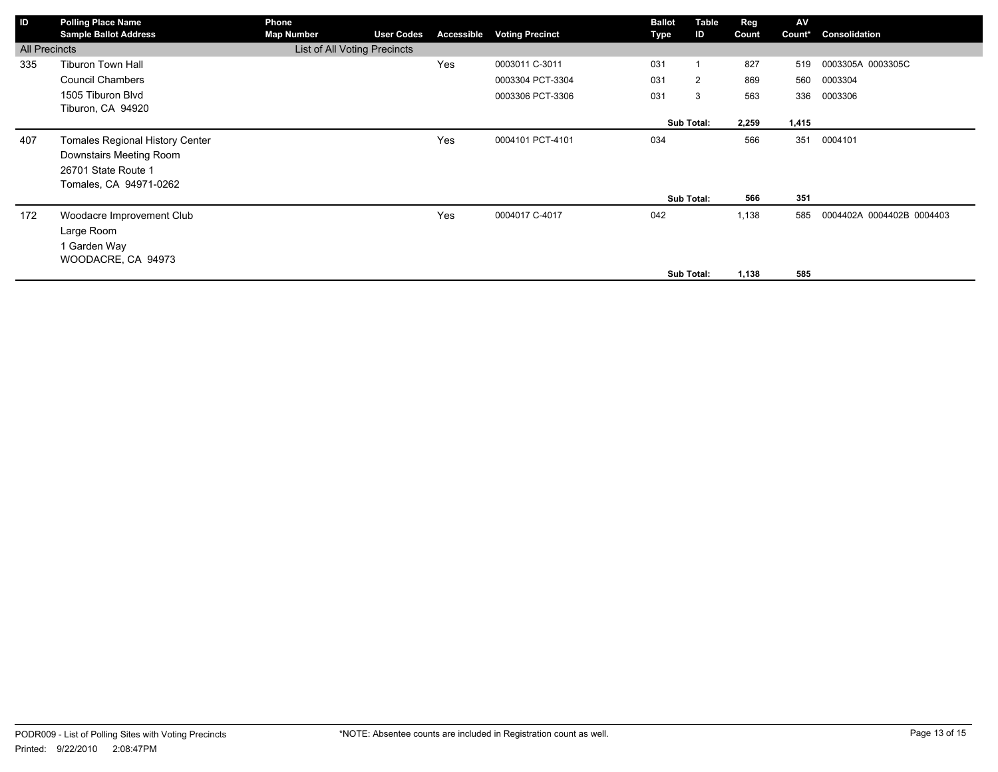| ID                   | <b>Polling Place Name</b>              | Phone                        |                   |            |                        | <b>Ballot</b> | Table      | Reg   | AV     |                           |
|----------------------|----------------------------------------|------------------------------|-------------------|------------|------------------------|---------------|------------|-------|--------|---------------------------|
|                      | <b>Sample Ballot Address</b>           | <b>Map Number</b>            | <b>User Codes</b> | Accessible | <b>Voting Precinct</b> | Type          | ID         | Count | Count* | Consolidation             |
| <b>All Precincts</b> |                                        | List of All Voting Precincts |                   |            |                        |               |            |       |        |                           |
| 335                  | <b>Tiburon Town Hall</b>               |                              |                   | Yes        | 0003011 C-3011         | 031           |            | 827   | 519    | 0003305A 0003305C         |
|                      | <b>Council Chambers</b>                |                              |                   |            | 0003304 PCT-3304       | 031           | 2          | 869   | 560    | 0003304                   |
|                      | 1505 Tiburon Blvd                      |                              |                   |            | 0003306 PCT-3306       | 031           | 3          | 563   | 336    | 0003306                   |
|                      | Tiburon, CA 94920                      |                              |                   |            |                        |               |            |       |        |                           |
|                      |                                        |                              |                   |            |                        |               | Sub Total: | 2,259 | 1,415  |                           |
| 407                  | <b>Tomales Regional History Center</b> |                              |                   | Yes        | 0004101 PCT-4101       | 034           |            | 566   | 351    | 0004101                   |
|                      | Downstairs Meeting Room                |                              |                   |            |                        |               |            |       |        |                           |
|                      | 26701 State Route 1                    |                              |                   |            |                        |               |            |       |        |                           |
|                      | Tomales, CA 94971-0262                 |                              |                   |            |                        |               |            |       |        |                           |
|                      |                                        |                              |                   |            |                        |               | Sub Total: | 566   | 351    |                           |
| 172                  | Woodacre Improvement Club              |                              |                   | Yes        | 0004017 C-4017         | 042           |            | 1,138 | 585    | 0004402A 0004402B 0004403 |
|                      | Large Room                             |                              |                   |            |                        |               |            |       |        |                           |
|                      | 1 Garden Way                           |                              |                   |            |                        |               |            |       |        |                           |
|                      | WOODACRE, CA 94973                     |                              |                   |            |                        |               |            |       |        |                           |
|                      |                                        |                              |                   |            |                        |               | Sub Total: | 1,138 | 585    |                           |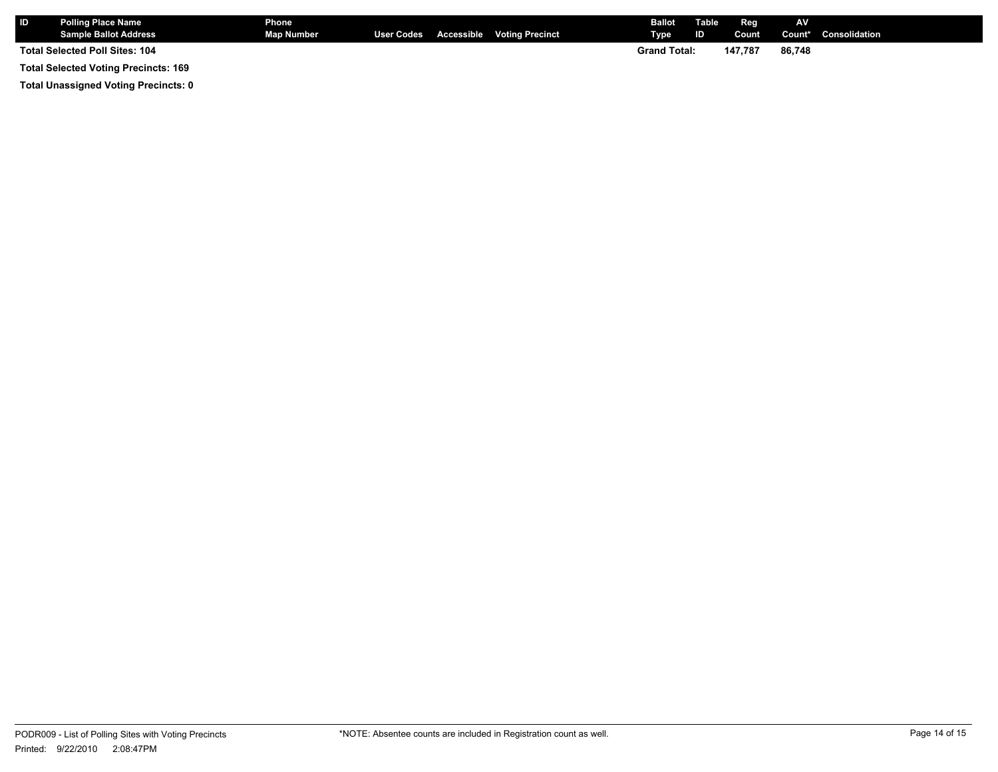| <b>Polling Place Name</b><br><b>Sample Ballot Address</b> | <b>Phone</b><br>Map Number |  | User Codes Accessible Voting Precinct | <b>Ballot</b><br>Type | <b>Table</b><br><b>ID</b> | Reg<br>Count | AV     | <b>Count*</b> Consolidation |
|-----------------------------------------------------------|----------------------------|--|---------------------------------------|-----------------------|---------------------------|--------------|--------|-----------------------------|
| Total Selected Poll Sites: 104                            |                            |  |                                       | <b>Grand Total:</b>   |                           | 147.787      | 86.748 |                             |
| <b>Total Selected Voting Precincts: 169</b>               |                            |  |                                       |                       |                           |              |        |                             |

**Total Unassigned Voting Precincts: 0**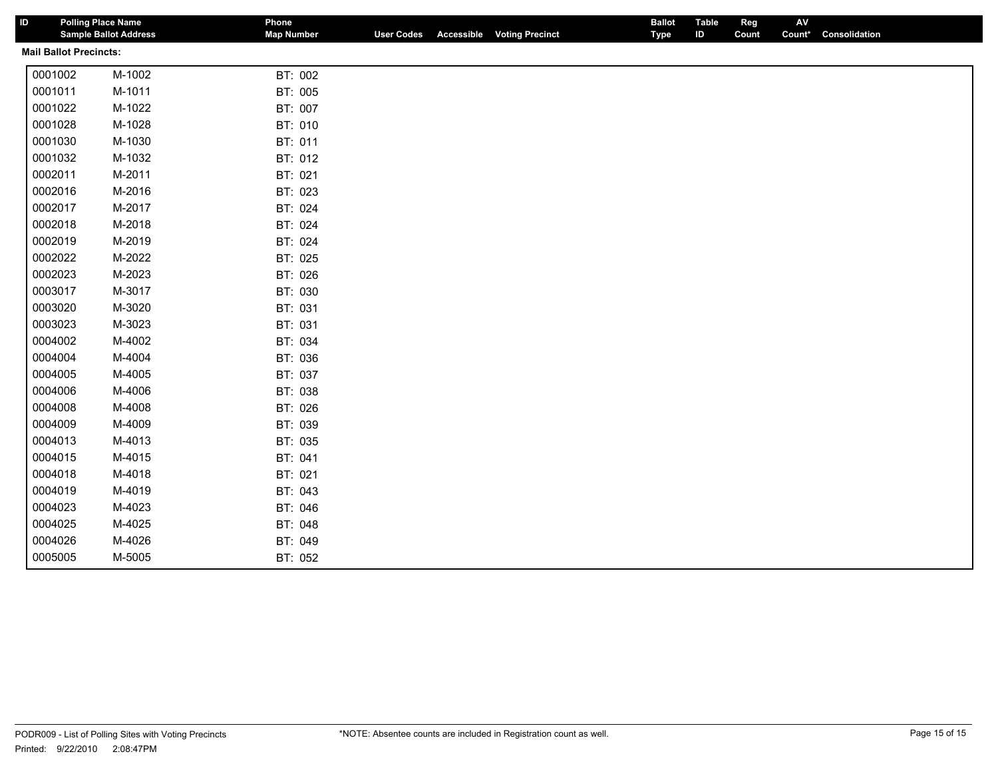| ID                            | <b>Polling Place Name</b><br><b>Sample Ballot Address</b> | Phone<br><b>Map Number</b> |  | <b>User Codes</b> Accessible Voting Precinct | <b>Ballot</b><br>Type | <b>Table</b><br>ID | Reg<br>Count | AV<br>Count* | Consolidation |  |
|-------------------------------|-----------------------------------------------------------|----------------------------|--|----------------------------------------------|-----------------------|--------------------|--------------|--------------|---------------|--|
| <b>Mail Ballot Precincts:</b> |                                                           |                            |  |                                              |                       |                    |              |              |               |  |
| 0001002                       | M-1002                                                    | BT: 002                    |  |                                              |                       |                    |              |              |               |  |
| 0001011                       | M-1011                                                    | BT: 005                    |  |                                              |                       |                    |              |              |               |  |
| 0001022                       | M-1022                                                    | BT: 007                    |  |                                              |                       |                    |              |              |               |  |
| 0001028                       | M-1028                                                    | BT: 010                    |  |                                              |                       |                    |              |              |               |  |
| 0001030                       | M-1030                                                    | BT: 011                    |  |                                              |                       |                    |              |              |               |  |
| 0001032                       | M-1032                                                    | BT: 012                    |  |                                              |                       |                    |              |              |               |  |
| 0002011                       | M-2011                                                    | BT: 021                    |  |                                              |                       |                    |              |              |               |  |
| 0002016                       | M-2016                                                    | BT: 023                    |  |                                              |                       |                    |              |              |               |  |
| 0002017                       | M-2017                                                    | BT: 024                    |  |                                              |                       |                    |              |              |               |  |
| 0002018                       | M-2018                                                    | BT: 024                    |  |                                              |                       |                    |              |              |               |  |
| 0002019                       | M-2019                                                    | BT: 024                    |  |                                              |                       |                    |              |              |               |  |
| 0002022                       | M-2022                                                    | BT: 025                    |  |                                              |                       |                    |              |              |               |  |
| 0002023                       | M-2023                                                    | BT: 026                    |  |                                              |                       |                    |              |              |               |  |
| 0003017                       | M-3017                                                    | BT: 030                    |  |                                              |                       |                    |              |              |               |  |
| 0003020                       | M-3020                                                    | BT: 031                    |  |                                              |                       |                    |              |              |               |  |
| 0003023                       | M-3023                                                    | BT: 031                    |  |                                              |                       |                    |              |              |               |  |
| 0004002                       | M-4002                                                    | BT: 034                    |  |                                              |                       |                    |              |              |               |  |
| 0004004                       | M-4004                                                    | BT: 036                    |  |                                              |                       |                    |              |              |               |  |
| 0004005                       | M-4005                                                    | BT: 037                    |  |                                              |                       |                    |              |              |               |  |
| 0004006                       | M-4006                                                    | BT: 038                    |  |                                              |                       |                    |              |              |               |  |
| 0004008                       | M-4008                                                    | BT: 026                    |  |                                              |                       |                    |              |              |               |  |
| 0004009                       | M-4009                                                    | BT: 039                    |  |                                              |                       |                    |              |              |               |  |
| 0004013                       | M-4013                                                    | BT: 035                    |  |                                              |                       |                    |              |              |               |  |
| 0004015                       | M-4015                                                    | BT: 041                    |  |                                              |                       |                    |              |              |               |  |
| 0004018                       | M-4018                                                    | BT: 021                    |  |                                              |                       |                    |              |              |               |  |
| 0004019                       | M-4019                                                    | BT: 043                    |  |                                              |                       |                    |              |              |               |  |
| 0004023                       | M-4023                                                    | BT: 046                    |  |                                              |                       |                    |              |              |               |  |
| 0004025                       | M-4025                                                    | BT: 048                    |  |                                              |                       |                    |              |              |               |  |
| 0004026                       | M-4026                                                    | BT: 049                    |  |                                              |                       |                    |              |              |               |  |
| 0005005                       | M-5005                                                    | BT: 052                    |  |                                              |                       |                    |              |              |               |  |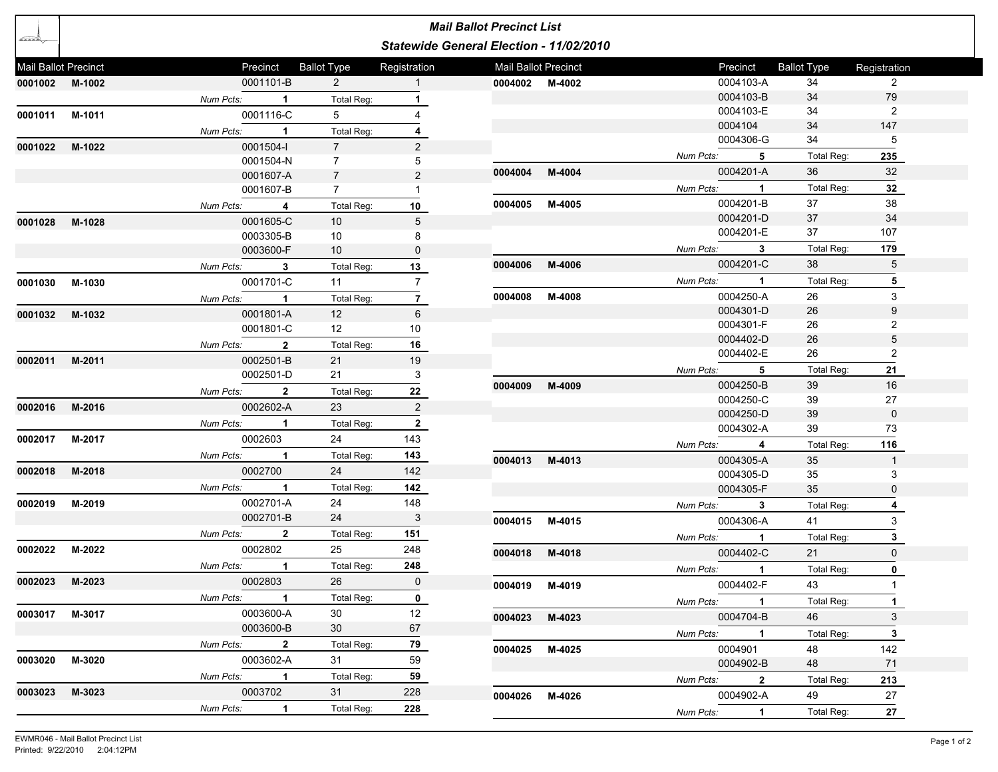|                      |                |             |                           |                    |                | <b>Mail Ballot Precinct List</b>        |        |           |                |                    |                |
|----------------------|----------------|-------------|---------------------------|--------------------|----------------|-----------------------------------------|--------|-----------|----------------|--------------------|----------------|
| رڪڪر                 |                |             |                           |                    |                | Statewide General Election - 11/02/2010 |        |           |                |                    |                |
| Mail Ballot Precinct |                |             | Precinct                  | <b>Ballot Type</b> | Registration   | Mail Ballot Precinct                    |        |           | Precinct       | <b>Ballot Type</b> | Registration   |
|                      | 0001002 M-1002 |             | 0001101-B                 | $\overline{2}$     | 1              | 0004002 M-4002                          |        |           | 0004103-A      | 34                 | $\overline{2}$ |
|                      |                | Num Pcts:   | $\mathbf{1}$              | Total Reg:         | 1              |                                         |        |           | 0004103-B      | 34                 | 79             |
| 0001011              | M-1011         |             | 0001116-C                 | 5                  | 4              |                                         |        |           | 0004103-E      | 34                 | $\overline{2}$ |
|                      |                | Num Pcts:   | $\overline{1}$            | Total Reg:         | 4              |                                         |        |           | 0004104        | 34                 | 147            |
| 0001022              | M-1022         |             | 0001504-l                 | $\overline{7}$     | 2              |                                         |        |           | 0004306-G      | 34                 | 5              |
|                      |                |             | 0001504-N                 | $\overline{7}$     | 5              |                                         |        | Num Pcts: | 5              | Total Req:         | 235            |
|                      |                |             | 0001607-A                 | $\overline{7}$     | $\overline{2}$ | 0004004                                 | M-4004 |           | 0004201-A      | 36                 | 32             |
|                      |                |             | 0001607-B                 | $\overline{7}$     | $\mathbf{1}$   |                                         |        | Num Pcts: | $\mathbf{1}$   | Total Reg:         | 32             |
|                      |                | Num Pcts:   | 4                         | Total Reg:         | 10             | 0004005                                 | M-4005 |           | 0004201-B      | 37                 | 38             |
| 0001028              | M-1028         |             | 0001605-C                 | 10 <sup>°</sup>    | 5              |                                         |        |           | 0004201-D      | 37                 | 34             |
|                      |                |             | 0003305-B                 | 10                 | 8              |                                         |        |           | 0004201-E      | 37                 | 107            |
|                      |                |             | 0003600-F                 | 10 <sup>°</sup>    | 0              |                                         |        | Num Pcts: | 3              | Total Reg:         | 179            |
|                      |                | Num Pcts:   | 3                         | Total Reg:         | 13             | 0004006                                 | M-4006 |           | 0004201-C      | 38                 | 5              |
| 0001030              | M-1030         |             | 0001701-C                 | 11                 | $\overline{7}$ |                                         |        | Num Pcts: | $\mathbf 1$    | Total Reg:         | 5              |
|                      |                | Num Pcts:   | $\overline{1}$            | Total Reg:         | $\overline{7}$ | 0004008                                 | M-4008 |           | 0004250-A      | 26                 | 3              |
| 0001032              | M-1032         |             | 0001801-A                 | 12                 | 6              |                                         |        |           | 0004301-D      | 26                 | 9              |
|                      |                |             | 0001801-C                 | 12 <sup>12</sup>   | 10             |                                         |        |           | 0004301-F      | 26                 | $\overline{2}$ |
|                      |                | Num Pcts:   | $\overline{2}$            | Total Reg:         | 16             |                                         |        |           | 0004402-D      | 26                 | 5              |
| 0002011              | M-2011         |             | 0002501-B                 | 21                 | 19             |                                         |        |           | 0004402-E      | 26                 | $\overline{2}$ |
|                      |                |             | 0002501-D                 | 21                 | 3              |                                         |        | Num Pcts: | 5              | Total Reg:         | 21             |
|                      |                | Num Pcts:   | $\overline{\mathbf{2}}$   | Total Reg:         | 22             | 0004009                                 | M-4009 |           | 0004250-B      | 39                 | 16             |
| 0002016              | M-2016         |             | 0002602-A                 | 23                 | 2              |                                         |        |           | 0004250-C      | 39                 | 27             |
|                      |                | Num Pcts:   | $\overline{1}$            | Total Reg:         | $\overline{2}$ |                                         |        |           | 0004250-D      | 39                 | $\mathbf 0$    |
| 0002017              | M-2017         |             | 0002603                   | 24                 | 143            |                                         |        |           | 0004302-A      | 39                 | 73             |
|                      |                | Num Pcts:   | $\overline{1}$            | Total Reg:         | 143            |                                         |        | Num Pcts: | 4              | Total Reg:         | 116            |
| 0002018              | M-2018         |             | 0002700                   | 24                 | 142            | 0004013                                 | M-4013 |           | 0004305-A      | 35                 | $\mathbf{1}$   |
|                      |                | Num Pcts: 1 |                           | Total Reg:         | 142            |                                         |        |           | 0004305-D      | 35<br>35           | 3              |
| 0002019              | M-2019         |             | 0002701-A                 | 24                 | 148            |                                         |        |           | 0004305-F      |                    | 0              |
|                      |                |             | 0002701-B                 | 24                 | 3              |                                         |        | Num Pcts: | 3              | Total Reg:         | 4              |
|                      |                |             |                           |                    |                | 0004015                                 | M-4015 |           | 0004306-A      | 41                 | 3              |
|                      |                | Num Pcts:   | $\overline{2}$<br>0002802 | Total Reg:<br>25   | 151<br>248     |                                         |        | Num Pcts: | $\mathbf 1$    | Total Reg:         | 3              |
| 0002022              | M-2022         |             |                           |                    |                | 0004018                                 | M-4018 |           | 0004402-C      | 21                 | $\mathbf 0$    |
|                      |                | Num Pcts:   | $\mathbf{1}$              | Total Reg:         | 248            |                                         |        | Num Pcts: | $\mathbf 1$    | Total Reg:         | 0              |
|                      | 0002023 M-2023 |             | 0002803                   | 26                 | $\mathbf 0$    | 0004019 M-4019                          |        |           | 0004402-F      | 43                 |                |
|                      |                | Num Pcts: 1 |                           | Total Reg:         | $\mathbf 0$    |                                         |        |           | Num Pcts: 1    | Total Reg:         | $\mathbf{1}$   |
|                      | 0003017 M-3017 |             | 0003600-A                 | 30                 | 12             | 0004023 M-4023                          |        |           | 0004704-B      | 46                 | 3              |
|                      |                |             | 0003600-B                 | 30 <sup>7</sup>    | 67             |                                         |        |           | Num Pcts: 1    | <b>Total Reg:</b>  | $\mathbf{3}$   |
|                      |                | Num Pcts: 2 |                           | Total Reg:         | 79             | 0004025 M-4025                          |        |           | 0004901        | 48                 | 142            |
| 0003020 M-3020       |                |             | 0003602-A                 | 31                 | 59             |                                         |        |           | 0004902-B      | 48                 | 71             |
|                      |                | Num Pcts: 1 |                           | Total Req:         | 59             |                                         |        | Num Pcts: | $\mathbf{2}$   | Total Reg:         | 213            |
| 0003023              | M-3023         |             | 0003702                   | 31                 | 228            | 0004026                                 | M-4026 |           | 0004902-A      | 49                 | 27             |
|                      |                | Num Pcts:   | $\blacksquare$ 1          | Total Reg:         | 228            |                                         |        | Num Pcts: | $\overline{1}$ | Total Reg:         | 27             |
|                      |                |             |                           |                    |                |                                         |        |           |                |                    |                |